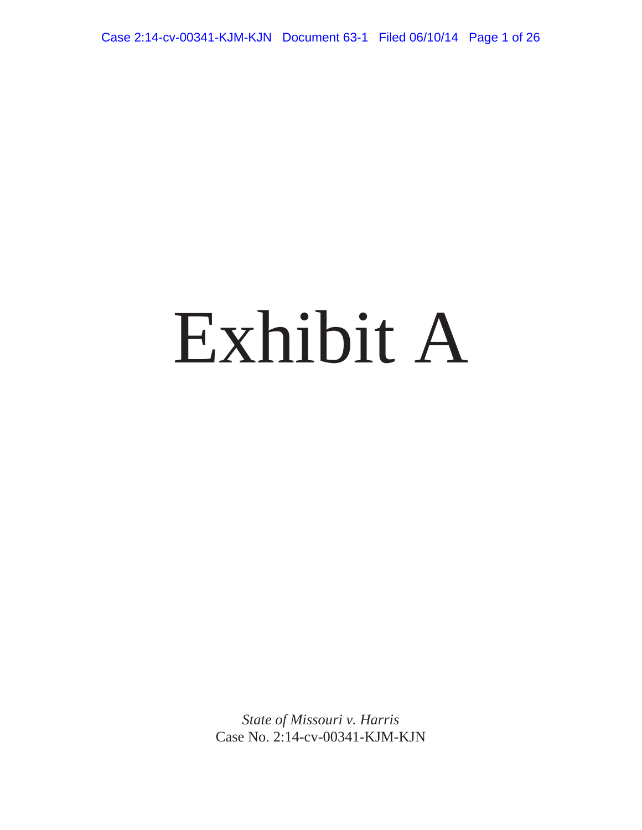Case 2:14-cv-00341-KJM-KJN Document 63-1 Filed 06/10/14 Page 1 of 26

# Exhibit A

*State of Missouri v. Harris* Case No. 2:14-cv-00341-KJM-KJN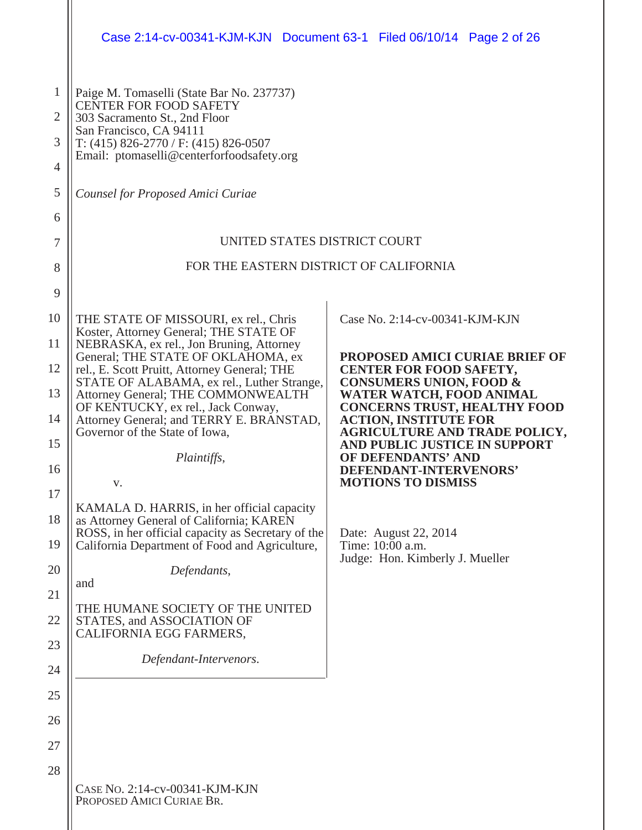|                                                       | Case 2:14-cv-00341-KJM-KJN Document 63-1 Filed 06/10/14 Page 2 of 26                                                                                                                                                             |                                                                               |
|-------------------------------------------------------|----------------------------------------------------------------------------------------------------------------------------------------------------------------------------------------------------------------------------------|-------------------------------------------------------------------------------|
| $\mathbf{1}$<br>$\overline{2}$<br>3<br>$\overline{4}$ | Paige M. Tomaselli (State Bar No. 237737)<br><b>CENTER FOR FOOD SAFETY</b><br>303 Sacramento St., 2nd Floor<br>San Francisco, CA 94111<br>T: $(415)$ 826-2770 / F: $(415)$ 826-0507<br>Email: ptomaselli@centerforfoodsafety.org |                                                                               |
| 5                                                     | Counsel for Proposed Amici Curiae                                                                                                                                                                                                |                                                                               |
| 6                                                     | UNITED STATES DISTRICT COURT                                                                                                                                                                                                     |                                                                               |
| 7                                                     |                                                                                                                                                                                                                                  |                                                                               |
| 8                                                     | FOR THE EASTERN DISTRICT OF CALIFORNIA                                                                                                                                                                                           |                                                                               |
| 9                                                     |                                                                                                                                                                                                                                  |                                                                               |
| 10                                                    | THE STATE OF MISSOURI, ex rel., Chris<br>Koster, Attorney General; THE STATE OF                                                                                                                                                  | Case No. 2:14-cv-00341-KJM-KJN                                                |
| 11                                                    | NEBRASKA, ex rel., Jon Bruning, Attorney<br>General; THE STATE OF OKLAHOMA, ex                                                                                                                                                   | PROPOSED AMICI CURIAE BRIEF OF                                                |
| 12                                                    | rel., E. Scott Pruitt, Attorney General; THE<br>STATE OF ALABAMA, ex rel., Luther Strange,                                                                                                                                       | <b>CENTER FOR FOOD SAFETY,</b><br><b>CONSUMERS UNION, FOOD &amp;</b>          |
| 13                                                    | Attorney General; THE COMMONWEALTH<br>OF KENTUCKY, ex rel., Jack Conway,                                                                                                                                                         | WATER WATCH, FOOD ANIMAL<br><b>CONCERNS TRUST, HEALTHY FOOD</b>               |
| 14<br>15                                              | Attorney General; and TERRY E. BRANSTAD,<br>Governor of the State of Iowa,                                                                                                                                                       | <b>ACTION, INSTITUTE FOR</b><br><b>AGRICULTURE AND TRADE POLICY,</b>          |
| 16                                                    | Plaintiffs,                                                                                                                                                                                                                      | AND PUBLIC JUSTICE IN SUPPORT<br>OF DEFENDANTS' AND<br>DEFENDANT-INTERVENORS' |
| 17                                                    | V.                                                                                                                                                                                                                               | <b>MOTIONS TO DISMISS</b>                                                     |
| 18                                                    | KAMALA D. HARRIS, in her official capacity<br>as Attorney General of California; KAREN                                                                                                                                           |                                                                               |
| 19                                                    | ROSS, in her official capacity as Secretary of the<br>California Department of Food and Agriculture,                                                                                                                             | Date: August 22, 2014<br>Time: 10:00 a.m.                                     |
| 20                                                    | Defendants,<br>and                                                                                                                                                                                                               | Judge: Hon. Kimberly J. Mueller                                               |
| 21<br>22                                              | THE HUMANE SOCIETY OF THE UNITED<br>STATES, and ASSOCIATION OF                                                                                                                                                                   |                                                                               |
| 23                                                    | CALIFORNIA EGG FARMERS,                                                                                                                                                                                                          |                                                                               |
| 24                                                    | Defendant-Intervenors.                                                                                                                                                                                                           |                                                                               |
| 25                                                    |                                                                                                                                                                                                                                  |                                                                               |
| 26                                                    |                                                                                                                                                                                                                                  |                                                                               |
| 27                                                    |                                                                                                                                                                                                                                  |                                                                               |
| 28                                                    |                                                                                                                                                                                                                                  |                                                                               |
|                                                       | CASE No. 2:14-cv-00341-KJM-KJN<br>PROPOSED AMICI CURIAE BR.                                                                                                                                                                      |                                                                               |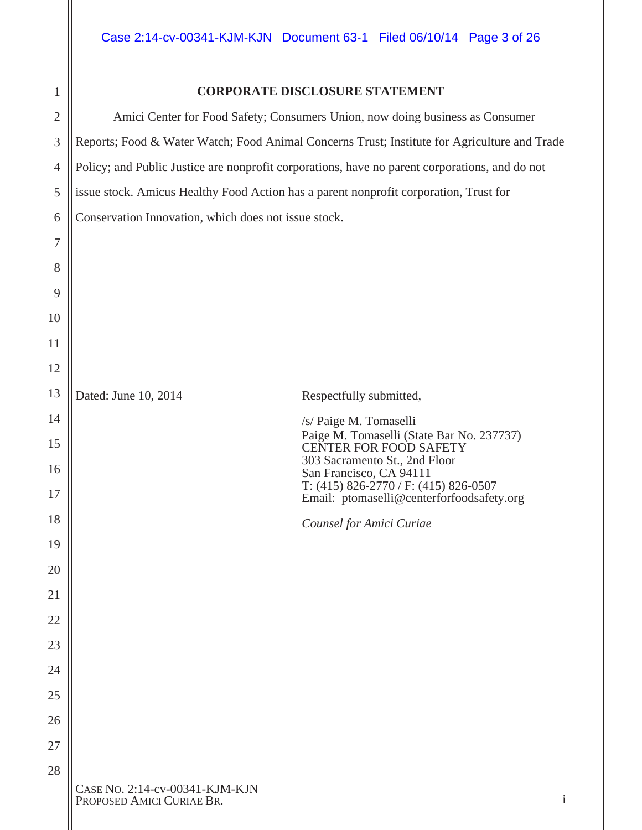#### **CORPORATE DISCLOSURE STATEMENT**

|                                                                                       | Amici Center for Food Safety; Consumers Union, now doing business as Consumer                  |  |
|---------------------------------------------------------------------------------------|------------------------------------------------------------------------------------------------|--|
|                                                                                       | Reports; Food & Water Watch; Food Animal Concerns Trust; Institute for Agriculture and Trade   |  |
|                                                                                       | Policy; and Public Justice are nonprofit corporations, have no parent corporations, and do not |  |
| issue stock. Amicus Healthy Food Action has a parent nonprofit corporation, Trust for |                                                                                                |  |
| Conservation Innovation, which does not issue stock.                                  |                                                                                                |  |
|                                                                                       |                                                                                                |  |
|                                                                                       |                                                                                                |  |
|                                                                                       |                                                                                                |  |
|                                                                                       |                                                                                                |  |
|                                                                                       |                                                                                                |  |
|                                                                                       |                                                                                                |  |
| Dated: June 10, 2014                                                                  | Respectfully submitted,                                                                        |  |
|                                                                                       | /s/ Paige M. Tomaselli                                                                         |  |
|                                                                                       | Paige M. Tomaselli (State Bar No. 237737)<br><b>CENTER FOR FOOD SAFETY</b>                     |  |
|                                                                                       | 303 Sacramento St., 2nd Floor<br>San Francisco, CA 94111                                       |  |
|                                                                                       | T: $(415)$ 826-2770 / F: $(415)$ 826-0507<br>Email: ptomaselli@centerforfoodsafety.org         |  |
|                                                                                       | Counsel for Amici Curiae                                                                       |  |
|                                                                                       |                                                                                                |  |
|                                                                                       |                                                                                                |  |
|                                                                                       |                                                                                                |  |
|                                                                                       |                                                                                                |  |
|                                                                                       |                                                                                                |  |
|                                                                                       |                                                                                                |  |
|                                                                                       |                                                                                                |  |
|                                                                                       |                                                                                                |  |
|                                                                                       |                                                                                                |  |
| CASE NO. 2:14-cv-00341-KJM-KJN                                                        |                                                                                                |  |
| PROPOSED AMICI CURIAE BR.                                                             |                                                                                                |  |
|                                                                                       |                                                                                                |  |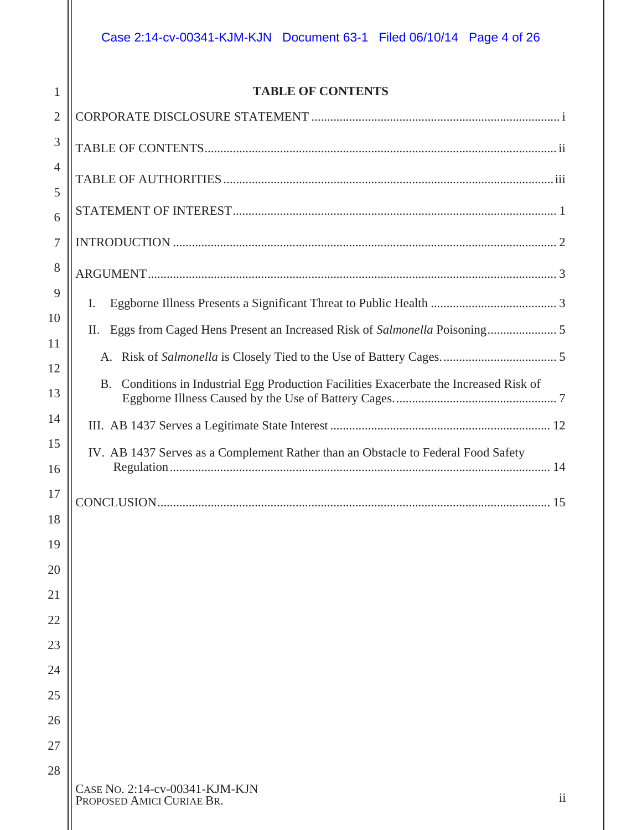#### **TABLE OF CONTENTS**

| $\overline{2}$ |                                                                                        |
|----------------|----------------------------------------------------------------------------------------|
| 3              |                                                                                        |
| 4<br>5         |                                                                                        |
| 6              |                                                                                        |
| 7              |                                                                                        |
| 8              |                                                                                        |
| 9              | I.                                                                                     |
| 10             |                                                                                        |
| 11<br>12       |                                                                                        |
| 13             | B. Conditions in Industrial Egg Production Facilities Exacerbate the Increased Risk of |
| 14             |                                                                                        |
| 15<br>16       | IV. AB 1437 Serves as a Complement Rather than an Obstacle to Federal Food Safety      |
| 17             |                                                                                        |
| 18             |                                                                                        |
| 19             |                                                                                        |
| 20             |                                                                                        |
| 21             |                                                                                        |
| 22             |                                                                                        |
| 23             |                                                                                        |
| 24             |                                                                                        |
| 25<br>26       |                                                                                        |
| 27             |                                                                                        |
| 28             |                                                                                        |
|                | CASE NO. 2:14-cv-00341-KJM-KJN                                                         |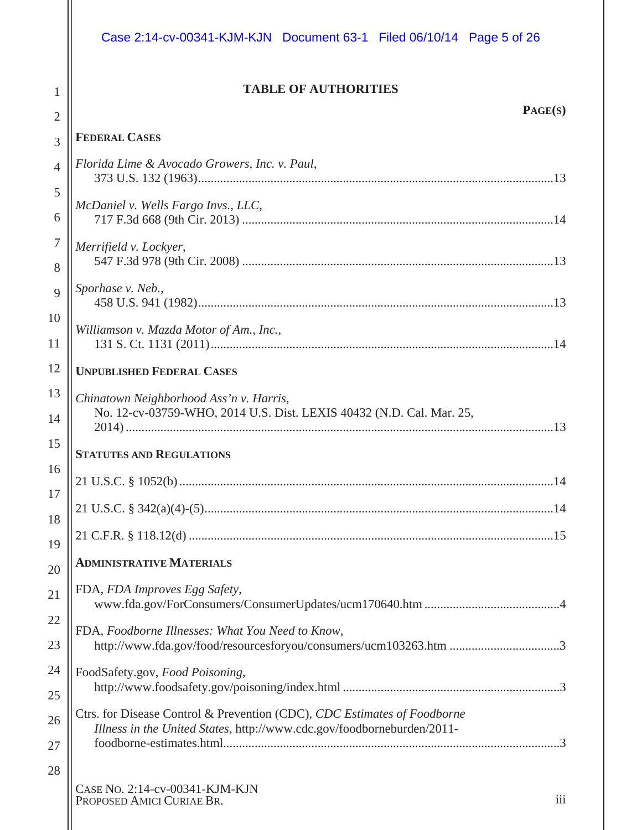## Case 2:14-cv-00341-KJM-KJN Document 63-1 Filed 06/10/14 Page 5 of 26

#### **TABLE OF AUTHORITIES**

| $\angle$       |                                                                                                                                                    |
|----------------|----------------------------------------------------------------------------------------------------------------------------------------------------|
| $\overline{3}$ | <b>FEDERAL CASES</b>                                                                                                                               |
| $\overline{4}$ | Florida Lime & Avocado Growers, Inc. v. Paul,                                                                                                      |
| 5              |                                                                                                                                                    |
| 6              | McDaniel v. Wells Fargo Invs., LLC,                                                                                                                |
| $\overline{7}$ | Merrifield v. Lockyer,                                                                                                                             |
| 8              |                                                                                                                                                    |
| 9              | Sporhase v. Neb.,                                                                                                                                  |
| 10             | Williamson v. Mazda Motor of Am., Inc.,                                                                                                            |
| 11             |                                                                                                                                                    |
| 12             | <b>UNPUBLISHED FEDERAL CASES</b>                                                                                                                   |
| 13             | Chinatown Neighborhood Ass'n v. Harris,                                                                                                            |
| 14             | No. 12-cv-03759-WHO, 2014 U.S. Dist. LEXIS 40432 (N.D. Cal. Mar. 25,                                                                               |
| 15             | <b>STATUTES AND REGULATIONS</b>                                                                                                                    |
| 16             |                                                                                                                                                    |
| 17             |                                                                                                                                                    |
| 18             |                                                                                                                                                    |
| 19             |                                                                                                                                                    |
| 20             | <b>ADMINISTRATIVE MATERIALS</b>                                                                                                                    |
| 21             | FDA, FDA Improves Egg Safety,                                                                                                                      |
| 22             |                                                                                                                                                    |
| 23             | FDA, Foodborne Illnesses: What You Need to Know,<br>http://www.fda.gov/food/resourcesforyou/consumers/ucm103263.htm 3                              |
| 24             | FoodSafety.gov, Food Poisoning,                                                                                                                    |
| 25             |                                                                                                                                                    |
| 26             | Ctrs. for Disease Control & Prevention (CDC), CDC Estimates of Foodborne<br>Illness in the United States, http://www.cdc.gov/foodborneburden/2011- |
| 27             |                                                                                                                                                    |
| 28             |                                                                                                                                                    |
|                | CASE NO. 2:14-cv-00341-KJM-KJN                                                                                                                     |

PROPOSED AMICI CURIAE BR.

1  $\sim$  11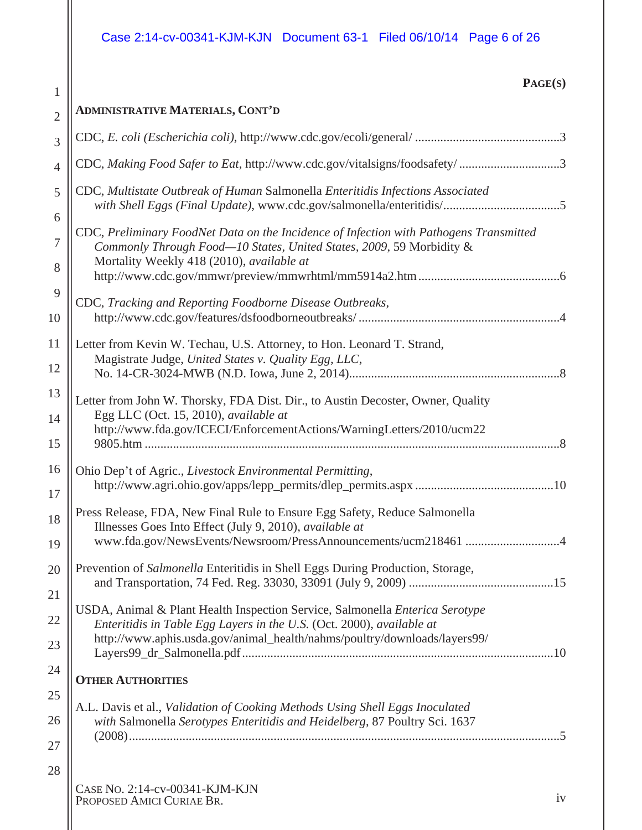# Case 2:14-cv-00341-KJM-KJN Document 63-1 Filed 06/10/14 Page 6 of 26

| r.<br>L.<br>Uтl<br>А<br>г. |
|----------------------------|
|----------------------------|

| $\overline{2}$ | <b>ADMINISTRATIVE MATERIALS, CONT'D</b>                                                                                                                                                                     |  |
|----------------|-------------------------------------------------------------------------------------------------------------------------------------------------------------------------------------------------------------|--|
| 3              |                                                                                                                                                                                                             |  |
| $\overline{4}$ | CDC, Making Food Safer to Eat, http://www.cdc.gov/vitalsigns/foodsafety/3                                                                                                                                   |  |
| $\mathfrak{S}$ | CDC, Multistate Outbreak of Human Salmonella Enteritidis Infections Associated<br>with Shell Eggs (Final Update), www.cdc.gov/salmonella/enteritidis/5                                                      |  |
| 6              |                                                                                                                                                                                                             |  |
| $\overline{7}$ | CDC, Preliminary FoodNet Data on the Incidence of Infection with Pathogens Transmitted<br>Commonly Through Food-10 States, United States, 2009, 59 Morbidity &<br>Mortality Weekly 418 (2010), available at |  |
| 8              |                                                                                                                                                                                                             |  |
| 9              | CDC, Tracking and Reporting Foodborne Disease Outbreaks,                                                                                                                                                    |  |
| 10             |                                                                                                                                                                                                             |  |
| 11             | Letter from Kevin W. Techau, U.S. Attorney, to Hon. Leonard T. Strand,                                                                                                                                      |  |
| 12             | Magistrate Judge, United States v. Quality Egg, LLC,                                                                                                                                                        |  |
| 13             | Letter from John W. Thorsky, FDA Dist. Dir., to Austin Decoster, Owner, Quality                                                                                                                             |  |
| 14             | Egg LLC (Oct. 15, 2010), available at                                                                                                                                                                       |  |
| 15             | http://www.fda.gov/ICECI/EnforcementActions/WarningLetters/2010/ucm22                                                                                                                                       |  |
| 16             | Ohio Dep't of Agric., Livestock Environmental Permitting,                                                                                                                                                   |  |
| 17             |                                                                                                                                                                                                             |  |
| 18             | Press Release, FDA, New Final Rule to Ensure Egg Safety, Reduce Salmonella<br>Illnesses Goes Into Effect (July 9, 2010), available at                                                                       |  |
| 19             | www.fda.gov/NewsEvents/Newsroom/PressAnnouncements/ucm218461 4                                                                                                                                              |  |
| 20             | Prevention of Salmonella Enteritidis in Shell Eggs During Production, Storage,                                                                                                                              |  |
| 21             |                                                                                                                                                                                                             |  |
| 22             | USDA, Animal & Plant Health Inspection Service, Salmonella Enterica Serotype<br>Enteritidis in Table Egg Layers in the U.S. (Oct. 2000), available at                                                       |  |
| 23             | http://www.aphis.usda.gov/animal_health/nahms/poultry/downloads/layers99/                                                                                                                                   |  |
| 24             | <b>OTHER AUTHORITIES</b>                                                                                                                                                                                    |  |
| 25             |                                                                                                                                                                                                             |  |
| 26             | A.L. Davis et al., Validation of Cooking Methods Using Shell Eggs Inoculated<br>with Salmonella Serotypes Enteritidis and Heidelberg, 87 Poultry Sci. 1637                                                  |  |
| 27             |                                                                                                                                                                                                             |  |
| 28             |                                                                                                                                                                                                             |  |
|                | CASE No. 2:14-cv-00341-KJM-KJN                                                                                                                                                                              |  |

PROPOSED AMICI CURIAE BR. iv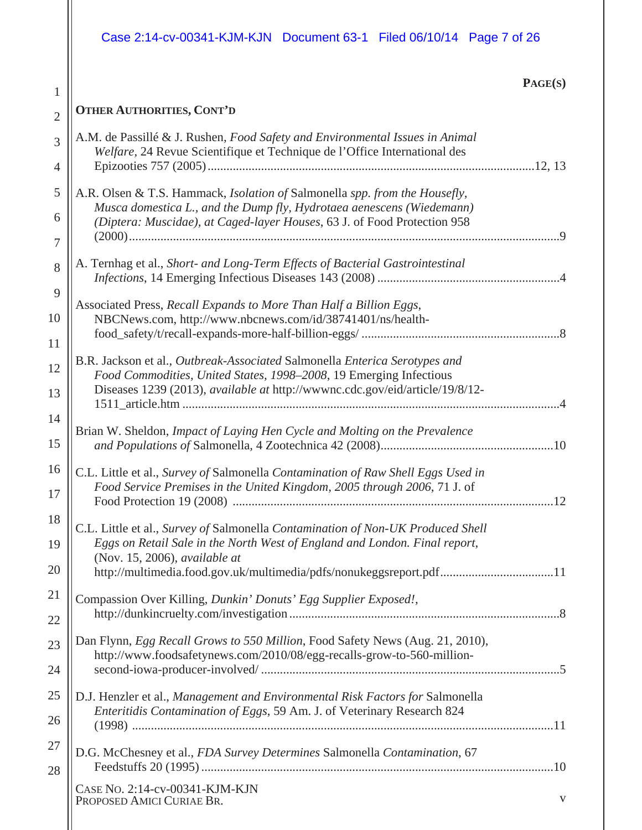# Case 2:14-cv-00341-KJM-KJN Document 63-1 Filed 06/10/14 Page 7 of 26

1

### **PAGE(S)**

| 1              |                                                                                                                                                           |
|----------------|-----------------------------------------------------------------------------------------------------------------------------------------------------------|
| $\overline{2}$ | <b>OTHER AUTHORITIES, CONT'D</b>                                                                                                                          |
| 3              | A.M. de Passillé & J. Rushen, Food Safety and Environmental Issues in Animal<br>Welfare, 24 Revue Scientifique et Technique de l'Office International des |
| 4              |                                                                                                                                                           |
| 5              | A.R. Olsen & T.S. Hammack, Isolation of Salmonella spp. from the Housefly,<br>Musca domestica L., and the Dump fly, Hydrotaea aenescens (Wiedemann)       |
| 6              | (Diptera: Muscidae), at Caged-layer Houses, 63 J. of Food Protection 958                                                                                  |
| 7              |                                                                                                                                                           |
| 8              | A. Ternhag et al., Short- and Long-Term Effects of Bacterial Gastrointestinal                                                                             |
| 9              | Associated Press, Recall Expands to More Than Half a Billion Eggs,                                                                                        |
| 10             | NBCNews.com, http://www.nbcnews.com/id/38741401/ns/health-                                                                                                |
| 11             |                                                                                                                                                           |
| 12             | B.R. Jackson et al., Outbreak-Associated Salmonella Enterica Serotypes and<br>Food Commodities, United States, 1998-2008, 19 Emerging Infectious          |
| 13             | Diseases 1239 (2013), available at http://wwwnc.cdc.gov/eid/article/19/8/12-                                                                              |
| 14             | Brian W. Sheldon, Impact of Laying Hen Cycle and Molting on the Prevalence                                                                                |
| 15             |                                                                                                                                                           |
| 16             | C.L. Little et al., Survey of Salmonella Contamination of Raw Shell Eggs Used in                                                                          |
| 17             | Food Service Premises in the United Kingdom, 2005 through 2006, 71 J. of                                                                                  |
| 18             | C.L. Little et al., Survey of Salmonella Contamination of Non-UK Produced Shell                                                                           |
| 19             | Eggs on Retail Sale in the North West of England and London. Final report,<br>(Nov. 15, 2006), <i>available at</i>                                        |
| 20             | http://multimedia.food.gov.uk/multimedia/pdfs/nonukeggsreport.pdf11                                                                                       |
| 21             | Compassion Over Killing, Dunkin' Donuts' Egg Supplier Exposed!,                                                                                           |
| 22             |                                                                                                                                                           |
| 23             | Dan Flynn, Egg Recall Grows to 550 Million, Food Safety News (Aug. 21, 2010),<br>http://www.foodsafetynews.com/2010/08/egg-recalls-grow-to-560-million-   |
| 24             |                                                                                                                                                           |
| 25             | D.J. Henzler et al., Management and Environmental Risk Factors for Salmonella                                                                             |
| 26             | Enteritidis Contamination of Eggs, 59 Am. J. of Veterinary Research 824                                                                                   |
| 27             | D.G. McChesney et al., FDA Survey Determines Salmonella Contamination, 67                                                                                 |
| 28             |                                                                                                                                                           |
|                | CASE NO. 2:14-cv-00341-KJM-KJN<br>PROPOSED AMICI CURIAE BR.<br>V                                                                                          |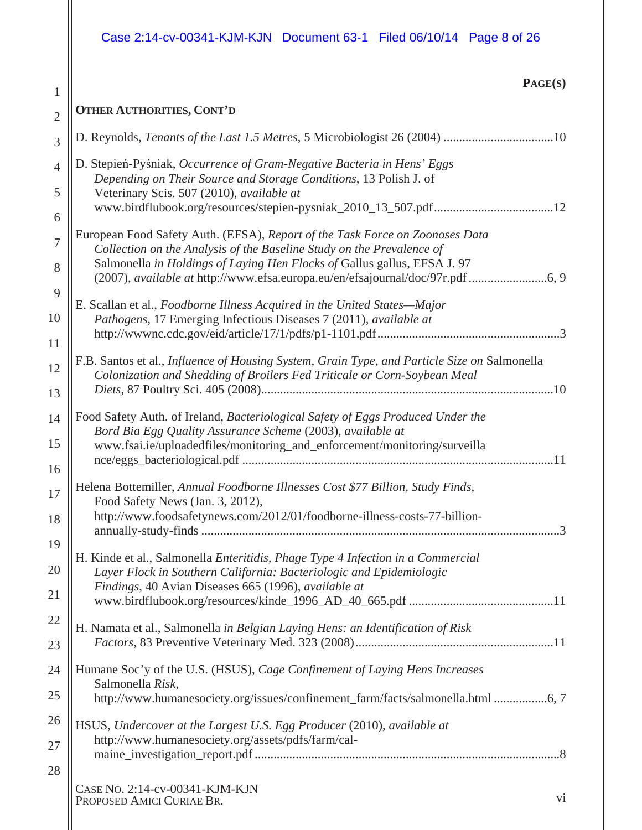# Case 2:14-cv-00341-KJM-KJN Document 63-1 Filed 06/10/14 Page 8 of 26

1

 $\mathsf{I}$ 

| IJ<br>AGEC<br>S)<br>$\blacktriangle$ |
|--------------------------------------|
|--------------------------------------|

| $\overline{2}$ | <b>OTHER AUTHORITIES, CONT'D</b>                                                                                                                                         |
|----------------|--------------------------------------------------------------------------------------------------------------------------------------------------------------------------|
| 3              | D. Reynolds, Tenants of the Last 1.5 Metres, 5 Microbiologist 26 (2004) 10                                                                                               |
| $\overline{4}$ | D. Stepień-Pyśniak, Occurrence of Gram-Negative Bacteria in Hens' Eggs<br>Depending on Their Source and Storage Conditions, 13 Polish J. of                              |
| 5              | Veterinary Scis. 507 (2010), available at<br>www.birdflubook.org/resources/stepien-pysniak_2010_13_507.pdf12                                                             |
| 6              |                                                                                                                                                                          |
| 7              | European Food Safety Auth. (EFSA), Report of the Task Force on Zoonoses Data<br>Collection on the Analysis of the Baseline Study on the Prevalence of                    |
| 8              | Salmonella in Holdings of Laying Hen Flocks of Gallus gallus, EFSA J. 97<br>(2007), available at http://www.efsa.europa.eu/en/efsajournal/doc/97r.pdf 6, 9               |
| 9              | E. Scallan et al., Foodborne Illness Acquired in the United States-Major                                                                                                 |
| 10             | Pathogens, 17 Emerging Infectious Diseases 7 (2011), available at                                                                                                        |
| 11             |                                                                                                                                                                          |
| 12             | F.B. Santos et al., Influence of Housing System, Grain Type, and Particle Size on Salmonella<br>Colonization and Shedding of Broilers Fed Triticale or Corn-Soybean Meal |
| 13             |                                                                                                                                                                          |
| 14             | Food Safety Auth. of Ireland, Bacteriological Safety of Eggs Produced Under the<br>Bord Bia Egg Quality Assurance Scheme (2003), available at                            |
| 15             | www.fsai.ie/uploadedfiles/monitoring_and_enforcement/monitoring/surveilla                                                                                                |
| 16             |                                                                                                                                                                          |
| 17             | Helena Bottemiller, Annual Foodborne Illnesses Cost \$77 Billion, Study Finds,<br>Food Safety News (Jan. 3, 2012),                                                       |
| 18             | http://www.foodsafetynews.com/2012/01/foodborne-illness-costs-77-billion-                                                                                                |
| 19             | H. Kinde et al., Salmonella Enteritidis, Phage Type 4 Infection in a Commercial                                                                                          |
| 20             | Layer Flock in Southern California: Bacteriologic and Epidemiologic                                                                                                      |
| 21             | Findings, 40 Avian Diseases 665 (1996), available at                                                                                                                     |
| 22             |                                                                                                                                                                          |
| 23             | H. Namata et al., Salmonella in Belgian Laying Hens: an Identification of Risk                                                                                           |
| 24             | Humane Soc'y of the U.S. (HSUS), Cage Confinement of Laying Hens Increases                                                                                               |
| 25             | Salmonella Risk,                                                                                                                                                         |
|                | http://www.humanesociety.org/issues/confinement_farm/facts/salmonella.html 6,7                                                                                           |
| 26             | HSUS, Undercover at the Largest U.S. Egg Producer (2010), available at<br>http://www.humanesociety.org/assets/pdfs/farm/cal-                                             |
| 27             |                                                                                                                                                                          |
| 28             |                                                                                                                                                                          |
|                | CASE NO. 2:14-cv-00341-KJM-KJN<br>$\rm vi$<br>PROPOSED AMICI CURIAE BR.                                                                                                  |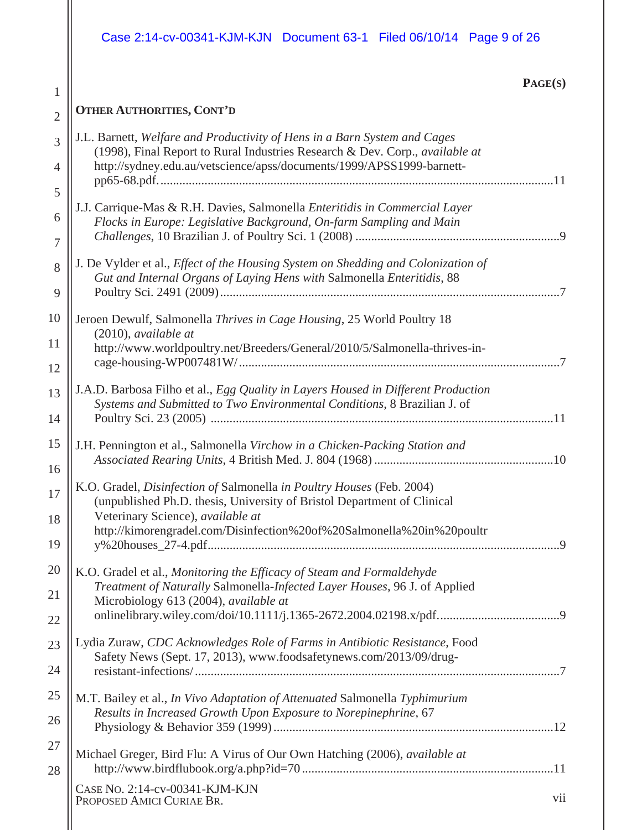|                | Case 2:14-cv-00341-KJM-KJN Document 63-1 Filed 06/10/14 Page 9 of 26                                                                                        |
|----------------|-------------------------------------------------------------------------------------------------------------------------------------------------------------|
| $\mathbf{1}$   | PAGE(S)                                                                                                                                                     |
| $\overline{2}$ | <b>OTHER AUTHORITIES, CONT'D</b>                                                                                                                            |
| 3              | J.L. Barnett, Welfare and Productivity of Hens in a Barn System and Cages                                                                                   |
| $\overline{4}$ | (1998), Final Report to Rural Industries Research & Dev. Corp., available at<br>http://sydney.edu.au/vetscience/apss/documents/1999/APSS1999-barnett-       |
| 5              |                                                                                                                                                             |
| 6              | J.J. Carrique-Mas & R.H. Davies, Salmonella Enteritidis in Commercial Layer<br>Flocks in Europe: Legislative Background, On-farm Sampling and Main          |
| $\overline{7}$ |                                                                                                                                                             |
| 8              | J. De Vylder et al., Effect of the Housing System on Shedding and Colonization of<br>Gut and Internal Organs of Laying Hens with Salmonella Enteritidis, 88 |
| 9              |                                                                                                                                                             |
| 10             | Jeroen Dewulf, Salmonella Thrives in Cage Housing, 25 World Poultry 18<br>$(2010)$ , available at                                                           |
| 11             | http://www.worldpoultry.net/Breeders/General/2010/5/Salmonella-thrives-in-                                                                                  |
| 12<br>13       | J.A.D. Barbosa Filho et al., Egg Quality in Layers Housed in Different Production                                                                           |
| 14             | Systems and Submitted to Two Environmental Conditions, 8 Brazilian J. of                                                                                    |
| 15             | J.H. Pennington et al., Salmonella Virchow in a Chicken-Packing Station and                                                                                 |
| 16             |                                                                                                                                                             |
| 17             | K.O. Gradel, Disinfection of Salmonella in Poultry Houses (Feb. 2004)<br>(unpublished Ph.D. thesis, University of Bristol Department of Clinical            |
| 18             | Veterinary Science), available at<br>http://kimorengradel.com/Disinfection%20of%20Salmonella%20in%20poultr                                                  |
| 19             |                                                                                                                                                             |
| 20             | K.O. Gradel et al., Monitoring the Efficacy of Steam and Formaldehyde<br>Treatment of Naturally Salmonella-Infected Layer Houses, 96 J. of Applied          |
| 21             | Microbiology 613 (2004), available at                                                                                                                       |
| 22             |                                                                                                                                                             |
| 23             | Lydia Zuraw, CDC Acknowledges Role of Farms in Antibiotic Resistance, Food<br>Safety News (Sept. 17, 2013), www.foodsafetynews.com/2013/09/drug-            |
| 24             |                                                                                                                                                             |
| 25             | M.T. Bailey et al., In Vivo Adaptation of Attenuated Salmonella Typhimurium<br>Results in Increased Growth Upon Exposure to Norepinephrine, 67              |
| 26             |                                                                                                                                                             |
| 27<br>28       | Michael Greger, Bird Flu: A Virus of Our Own Hatching (2006), available at                                                                                  |
|                | CASE No. 2:14-cv-00341-KJM-KJN<br>vii<br>PROPOSED AMICI CURIAE BR.                                                                                          |
|                |                                                                                                                                                             |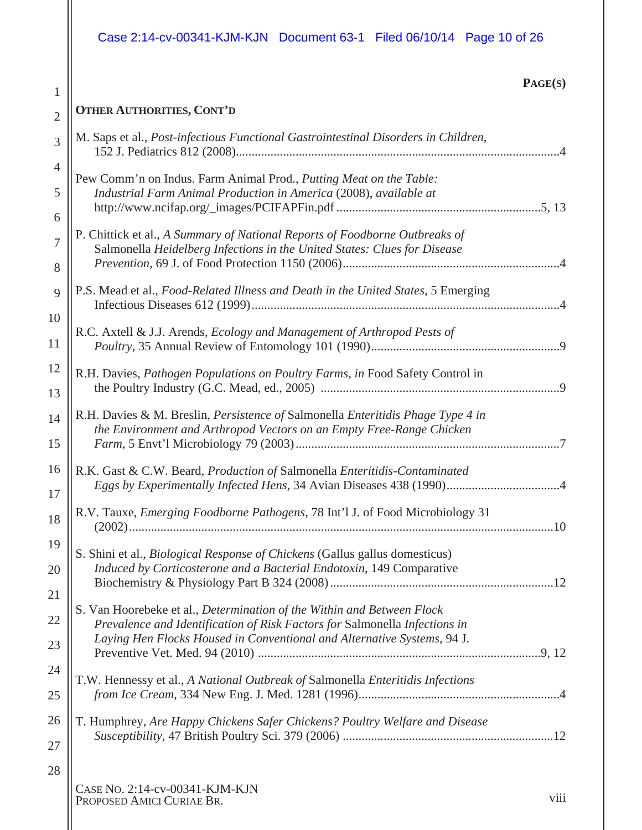# Case 2:14-cv-00341-KJM-KJN Document 63-1 Filed 06/10/14 Page 10 of 26

### **PAGE(S)**

| $\overline{2}$      | <b>OTHER AUTHORITIES, CONT'D</b>                                                                                                                        |
|---------------------|---------------------------------------------------------------------------------------------------------------------------------------------------------|
| 3                   | M. Saps et al., Post-infectious Functional Gastrointestinal Disorders in Children,                                                                      |
| $\overline{4}$<br>5 | Pew Comm'n on Indus. Farm Animal Prod., Putting Meat on the Table:<br>Industrial Farm Animal Production in America (2008), available at                 |
| 6                   |                                                                                                                                                         |
| $\overline{7}$<br>8 | P. Chittick et al., A Summary of National Reports of Foodborne Outbreaks of<br>Salmonella Heidelberg Infections in the United States: Clues for Disease |
| 9                   | P.S. Mead et al., Food-Related Illness and Death in the United States, 5 Emerging                                                                       |
| 10<br>11            | R.C. Axtell & J.J. Arends, Ecology and Management of Arthropod Pests of                                                                                 |
| 12<br>13            | R.H. Davies, Pathogen Populations on Poultry Farms, in Food Safety Control in                                                                           |
| 14<br>15            | R.H. Davies & M. Breslin, Persistence of Salmonella Enteritidis Phage Type 4 in<br>the Environment and Arthropod Vectors on an Empty Free-Range Chicken |
| 16<br>17            | R.K. Gast & C.W. Beard, Production of Salmonella Enteritidis-Contaminated<br>Eggs by Experimentally Infected Hens, 34 Avian Diseases 438 (1990)4        |
| 18                  | R.V. Tauxe, <i>Emerging Foodborne Pathogens</i> , 78 Int'l J. of Food Microbiology 31                                                                   |
| 19<br>20            | S. Shini et al., Biological Response of Chickens (Gallus gallus domesticus)<br>Induced by Corticosterone and a Bacterial Endotoxin, 149 Comparative     |
| 21                  |                                                                                                                                                         |
| 22                  | S. Van Hoorebeke et al., Determination of the Within and Between Flock<br>Prevalence and Identification of Risk Factors for Salmonella Infections in    |
| 23                  | Laying Hen Flocks Housed in Conventional and Alternative Systems, 94 J.                                                                                 |
| 24<br>25            | T.W. Hennessy et al., A National Outbreak of Salmonella Enteritidis Infections                                                                          |
| 26<br>27            | T. Humphrey, Are Happy Chickens Safer Chickens? Poultry Welfare and Disease                                                                             |
| 28                  | $C_A$ ge No. 2:14-cv-00341-KIM-KIN                                                                                                                      |

CASE NO. 2:14-cv-00341-KJM-KJN PROPOSED AMICI CURIAE BR. VIII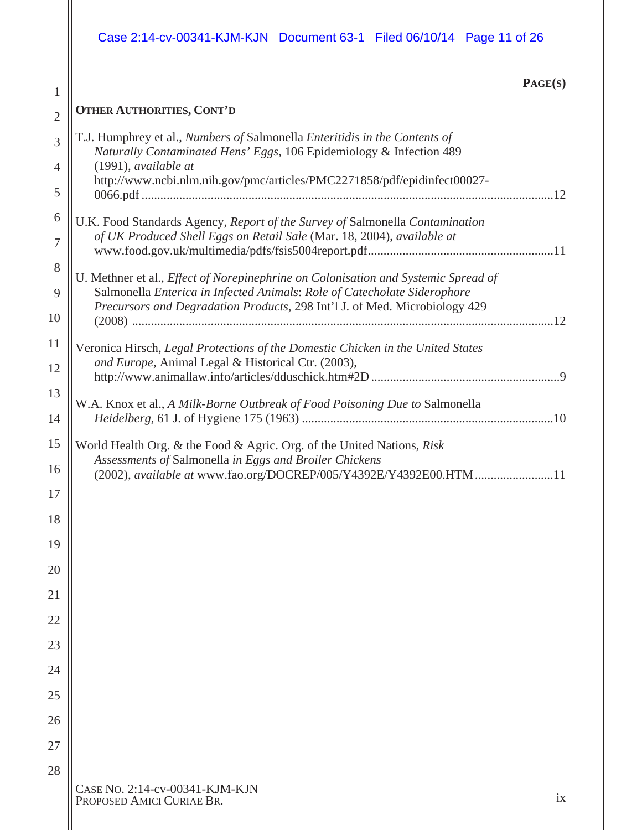|                                | Case 2:14-cv-00341-KJM-KJN  Document 63-1  Filed 06/10/14  Page 11  of 26                                                                                                                                                                                |
|--------------------------------|----------------------------------------------------------------------------------------------------------------------------------------------------------------------------------------------------------------------------------------------------------|
|                                | PAGE(S)                                                                                                                                                                                                                                                  |
| $\mathbf{1}$<br>$\overline{2}$ | <b>OTHER AUTHORITIES, CONT'D</b>                                                                                                                                                                                                                         |
| 3<br>$\overline{4}$            | T.J. Humphrey et al., Numbers of Salmonella Enteritidis in the Contents of<br>Naturally Contaminated Hens' Eggs, 106 Epidemiology & Infection 489<br>$(1991)$ , available at<br>http://www.ncbi.nlm.nih.gov/pmc/articles/PMC2271858/pdf/epidinfect00027- |
| 5                              |                                                                                                                                                                                                                                                          |
| 6<br>$\tau$                    | U.K. Food Standards Agency, Report of the Survey of Salmonella Contamination<br>of UK Produced Shell Eggs on Retail Sale (Mar. 18, 2004), available at                                                                                                   |
| 8<br>9<br>10                   | U. Methner et al., Effect of Norepinephrine on Colonisation and Systemic Spread of<br>Salmonella Enterica in Infected Animals: Role of Catecholate Siderophore<br>Precursors and Degradation Products, 298 Int'l J. of Med. Microbiology 429             |
| 11<br>12                       | Veronica Hirsch, Legal Protections of the Domestic Chicken in the United States<br>and Europe, Animal Legal & Historical Ctr. (2003),                                                                                                                    |
| 13<br>14                       | W.A. Knox et al., A Milk-Borne Outbreak of Food Poisoning Due to Salmonella                                                                                                                                                                              |
| 15<br>16<br>17                 | World Health Org. & the Food & Agric. Org. of the United Nations, Risk<br>Assessments of Salmonella in Eggs and Broiler Chickens<br>(2002), available at www.fao.org/DOCREP/005/Y4392E/Y4392E00.HTM<br>11                                                |
| 18                             |                                                                                                                                                                                                                                                          |
| 19                             |                                                                                                                                                                                                                                                          |
| 20                             |                                                                                                                                                                                                                                                          |
| 21                             |                                                                                                                                                                                                                                                          |
| 22                             |                                                                                                                                                                                                                                                          |
| 23                             |                                                                                                                                                                                                                                                          |
| 24                             |                                                                                                                                                                                                                                                          |
| 25                             |                                                                                                                                                                                                                                                          |
| 26                             |                                                                                                                                                                                                                                                          |
| 27                             |                                                                                                                                                                                                                                                          |
| 28                             | CASE NO. 2:14-cv-00341-KJM-KJN<br>ix<br>PROPOSED AMICI CURIAE BR.                                                                                                                                                                                        |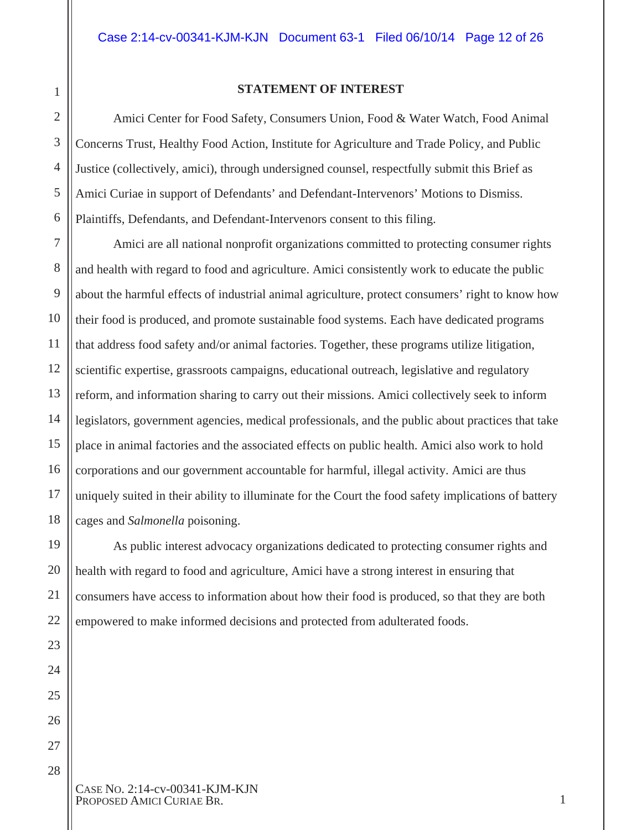#### **STATEMENT OF INTEREST**

Amici Center for Food Safety, Consumers Union, Food & Water Watch, Food Animal Concerns Trust, Healthy Food Action, Institute for Agriculture and Trade Policy, and Public Justice (collectively, amici), through undersigned counsel, respectfully submit this Brief as Amici Curiae in support of Defendants' and Defendant-Intervenors' Motions to Dismiss. Plaintiffs, Defendants, and Defendant-Intervenors consent to this filing.

Amici are all national nonprofit organizations committed to protecting consumer rights and health with regard to food and agriculture. Amici consistently work to educate the public about the harmful effects of industrial animal agriculture, protect consumers' right to know how their food is produced, and promote sustainable food systems. Each have dedicated programs that address food safety and/or animal factories. Together, these programs utilize litigation, scientific expertise, grassroots campaigns, educational outreach, legislative and regulatory reform, and information sharing to carry out their missions. Amici collectively seek to inform legislators, government agencies, medical professionals, and the public about practices that take place in animal factories and the associated effects on public health. Amici also work to hold corporations and our government accountable for harmful, illegal activity. Amici are thus uniquely suited in their ability to illuminate for the Court the food safety implications of battery cages and *Salmonella* poisoning.

As public interest advocacy organizations dedicated to protecting consumer rights and health with regard to food and agriculture, Amici have a strong interest in ensuring that consumers have access to information about how their food is produced, so that they are both empowered to make informed decisions and protected from adulterated foods.

CASE NO. 2:14-cv-00341-KJM-KJN PROPOSED AMICI CURIAE BR. 1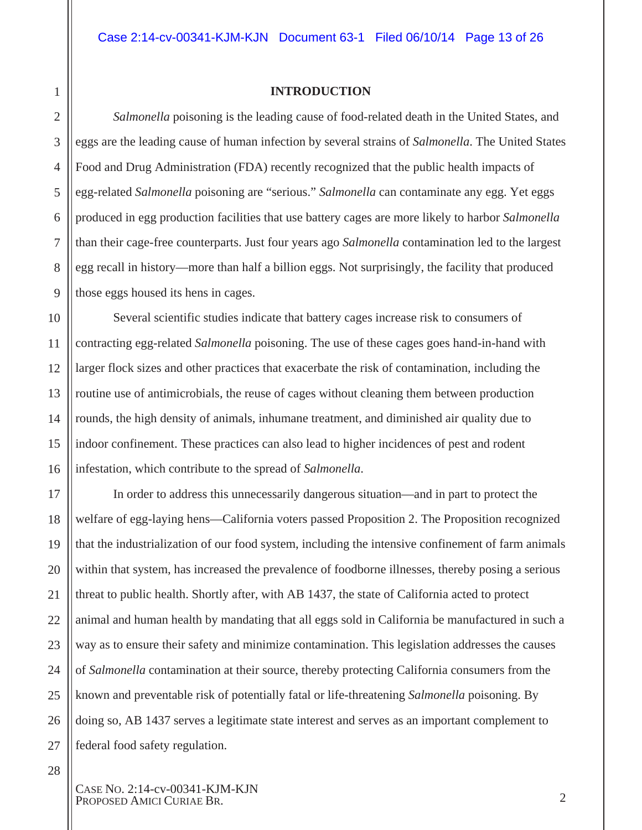#### **INTRODUCTION**

*Salmonella* poisoning is the leading cause of food-related death in the United States, and eggs are the leading cause of human infection by several strains of *Salmonella*. The United States Food and Drug Administration (FDA) recently recognized that the public health impacts of egg-related *Salmonella* poisoning are "serious." *Salmonella* can contaminate any egg. Yet eggs produced in egg production facilities that use battery cages are more likely to harbor *Salmonella* than their cage-free counterparts. Just four years ago *Salmonella* contamination led to the largest egg recall in history—more than half a billion eggs. Not surprisingly, the facility that produced those eggs housed its hens in cages.

Several scientific studies indicate that battery cages increase risk to consumers of contracting egg-related *Salmonella* poisoning. The use of these cages goes hand-in-hand with larger flock sizes and other practices that exacerbate the risk of contamination, including the routine use of antimicrobials, the reuse of cages without cleaning them between production rounds, the high density of animals, inhumane treatment, and diminished air quality due to indoor confinement. These practices can also lead to higher incidences of pest and rodent infestation, which contribute to the spread of *Salmonella*.

In order to address this unnecessarily dangerous situation—and in part to protect the welfare of egg-laying hens—California voters passed Proposition 2. The Proposition recognized that the industrialization of our food system, including the intensive confinement of farm animals within that system, has increased the prevalence of foodborne illnesses, thereby posing a serious threat to public health. Shortly after, with AB 1437, the state of California acted to protect animal and human health by mandating that all eggs sold in California be manufactured in such a way as to ensure their safety and minimize contamination. This legislation addresses the causes of *Salmonella* contamination at their source, thereby protecting California consumers from the known and preventable risk of potentially fatal or life-threatening *Salmonella* poisoning. By doing so, AB 1437 serves a legitimate state interest and serves as an important complement to federal food safety regulation.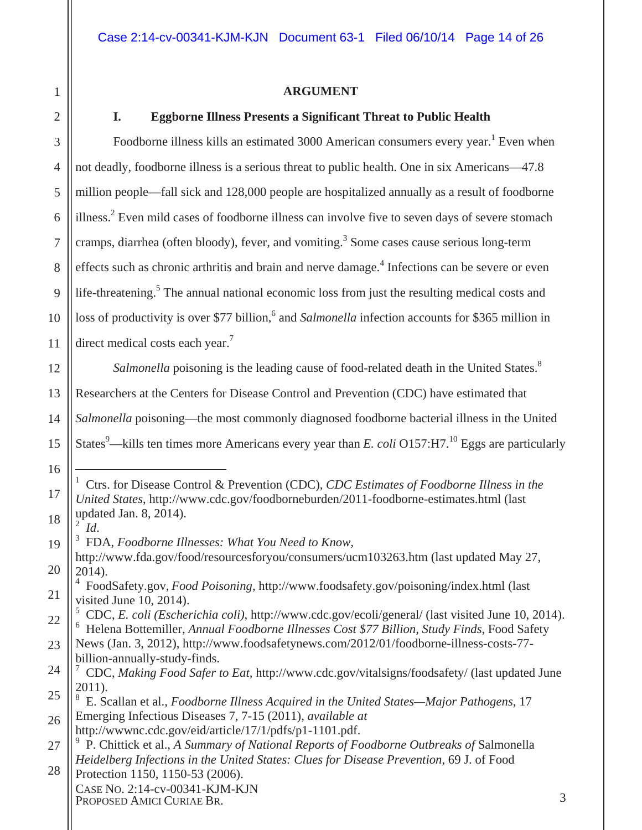#### **ARGUMENT**

1

2

16

 $\overline{a}$ 

17

18

#### **I. Eggborne Illness Presents a Significant Threat to Public Health**

3 4 5 6 7 8 9 10 11 12 13 Foodborne illness kills an estimated 3000 American consumers every year.<sup>1</sup> Even when not deadly, foodborne illness is a serious threat to public health. One in six Americans—47.8 million people—fall sick and 128,000 people are hospitalized annually as a result of foodborne illness.<sup>2</sup> Even mild cases of foodborne illness can involve five to seven days of severe stomach cramps, diarrhea (often bloody), fever, and vomiting.<sup>3</sup> Some cases cause serious long-term effects such as chronic arthritis and brain and nerve damage.<sup>4</sup> Infections can be severe or even life-threatening.<sup>5</sup> The annual national economic loss from just the resulting medical costs and loss of productivity is over \$77 billion,<sup>6</sup> and *Salmonella* infection accounts for \$365 million in direct medical costs each year.<sup>7</sup> *Salmonella* poisoning is the leading cause of food-related death in the United States.<sup>8</sup> Researchers at the Centers for Disease Control and Prevention (CDC) have estimated that

14 *Salmonella* poisoning—the most commonly diagnosed foodborne bacterial illness in the United

15 States<sup>9</sup>—kills ten times more Americans every year than *E. coli* O157:H7.<sup>10</sup> Eggs are particularly

<sup>1</sup> Ctrs. for Disease Control & Prevention (CDC), *CDC Estimates of Foodborne Illness in the United States*, http://www.cdc.gov/foodborneburden/2011-foodborne-estimates.html (last updated Jan. 8, 2014). 2

*Id.* FDA, *Foodborne Illnesses: What You Need to Know,*

<sup>19</sup> 20 http://www.fda.gov/food/resourcesforyou/consumers/ucm103263.htm (last updated May 27, 2014).

<sup>21</sup> 4 FoodSafety.gov, *Food Poisoning*, http://www.foodsafety.gov/poisoning/index.html (last visited June 10, 2014).

<sup>22</sup> 5 CDC, *E. coli (Escherichia coli)*, http://www.cdc.gov/ecoli/general/ (last visited June 10, 2014). 6 Helena Bottemiller, *Annual Foodborne Illnesses Cost \$77 Billion, Study Finds*, Food Safety

<sup>23</sup> News (Jan. 3, 2012), http://www.foodsafetynews.com/2012/01/foodborne-illness-costs-77 billion-annually-study-finds.

<sup>24</sup> 25 7 CDC, *Making Food Safer to Eat*, http://www.cdc.gov/vitalsigns/foodsafety/ (last updated June 2011).

<sup>26</sup> 8 E. Scallan et al., *Foodborne Illness Acquired in the United States—Major Pathogens*, 17 Emerging Infectious Diseases 7, 7-15 (2011), *available at* 

http://wwwnc.cdc.gov/eid/article/17/1/pdfs/p1-1101.pdf.

<sup>27</sup> <sup>9</sup> P. Chittick et al., *A Summary of National Reports of Foodborne Outbreaks of Salmonella Heidelberg Infections in the United States: Clues for Disease Prevention*, 69 J. of Food

CASE NO. 2:14-cv-00341-KJM-KJN PROPOSED AMICI CURIAE BR. 3 28 Protection 1150, 1150-53 (2006).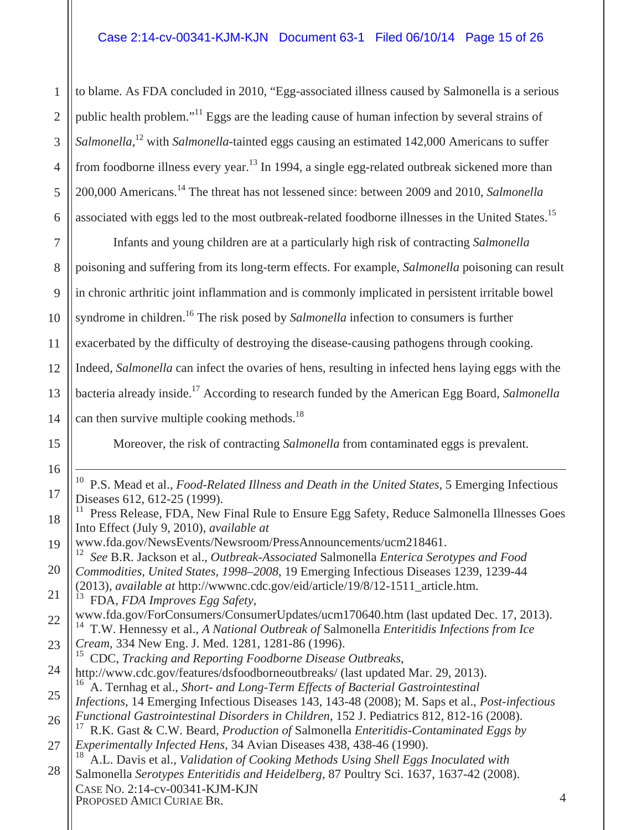1 2 3 4 5 6 to blame. As FDA concluded in 2010, "Egg-associated illness caused by Salmonella is a serious public health problem."<sup>11</sup> Eggs are the leading cause of human infection by several strains of Salmonella,<sup>12</sup> with *Salmonella*-tainted eggs causing an estimated 142,000 Americans to suffer from foodborne illness every year.<sup>13</sup> In 1994, a single egg-related outbreak sickened more than 200,000 Americans.14 The threat has not lessened since: between 2009 and 2010, *Salmonella* associated with eggs led to the most outbreak-related foodborne illnesses in the United States.<sup>15</sup>

7 8 9 10 11 12 13 14 Infants and young children are at a particularly high risk of contracting *Salmonella*  poisoning and suffering from its long-term effects. For example, *Salmonella* poisoning can result in chronic arthritic joint inflammation and is commonly implicated in persistent irritable bowel syndrome in children.<sup>16</sup> The risk posed by *Salmonella* infection to consumers is further exacerbated by the difficulty of destroying the disease-causing pathogens through cooking. Indeed, *Salmonella* can infect the ovaries of hens, resulting in infected hens laying eggs with the bacteria already inside.17 According to research funded by the American Egg Board, *Salmonella* can then survive multiple cooking methods. $^{18}$ 

Moreover, the risk of contracting *Salmonella* from contaminated eggs is prevalent.

19

 10 P.S. Mead et al., *Food-Related Illness and Death in the United States*, 5 Emerging Infectious Diseases 612, 612-25 (1999).

www.fda.gov/NewsEvents/Newsroom/PressAnnouncements/ucm218461. 12 *See* B.R. Jackson et al., *Outbreak-Associated* Salmonella *Enterica Serotypes and Food* 

20 *Commodities, United States, 1998–2008*, 19 Emerging Infectious Diseases 1239, 1239-44 (2013), *available at* http://wwwnc.cdc.gov/eid/article/19/8/12-1511\_article.htm.

21 13 FDA, *FDA Improves Egg Safety*,

22 www.fda.gov/ForConsumers/ConsumerUpdates/ucm170640.htm (last updated Dec. 17, 2013). 14 T.W. Hennessy et al., *A National Outbreak of* Salmonella *Enteritidis Infections from Ice* 

23 *Cream*, 334 New Eng. J. Med. 1281, 1281-86 (1996).<br><sup>15</sup> CDC *Tracking and Benorting Eoodhorne Disease* 

- 24 15 CDC, *Tracking and Reporting Foodborne Disease Outbreaks*, http://www.cdc.gov/features/dsfoodborneoutbreaks/ (last updated Mar. 29, 2013). 16 A. Ternhag et al., *Short- and Long-Term Effects of Bacterial Gastrointestinal*
- 25 26 *Infections*, 14 Emerging Infectious Diseases 143, 143-48 (2008); M. Saps et al., *Post-infectious Functional Gastrointestinal Disorders in Children*, 152 J. Pediatrics 812, 812-16 (2008).
- 27 17 R.K. Gast & C.W. Beard, *Production of* Salmonella *Enteritidis-Contaminated Eggs by Experimentally Infected Hens*, 34 Avian Diseases 438, 438-46 (1990).

CASE NO. 2:14-cv-00341-KJM-KJN PROPOSED AMICI CURIAE BR. 4 28 <sup>18</sup> A.L. Davis et al., *Validation of Cooking Methods Using Shell Eggs Inoculated with* Salmonella *Serotypes Enteritidis and Heidelberg*, 87 Poultry Sci. 1637, 1637-42 (2008).

<sup>11</sup> Press Release, FDA, New Final Rule to Ensure Egg Safety, Reduce Salmonella Illnesses Goes Into Effect (July 9, 2010), *available at*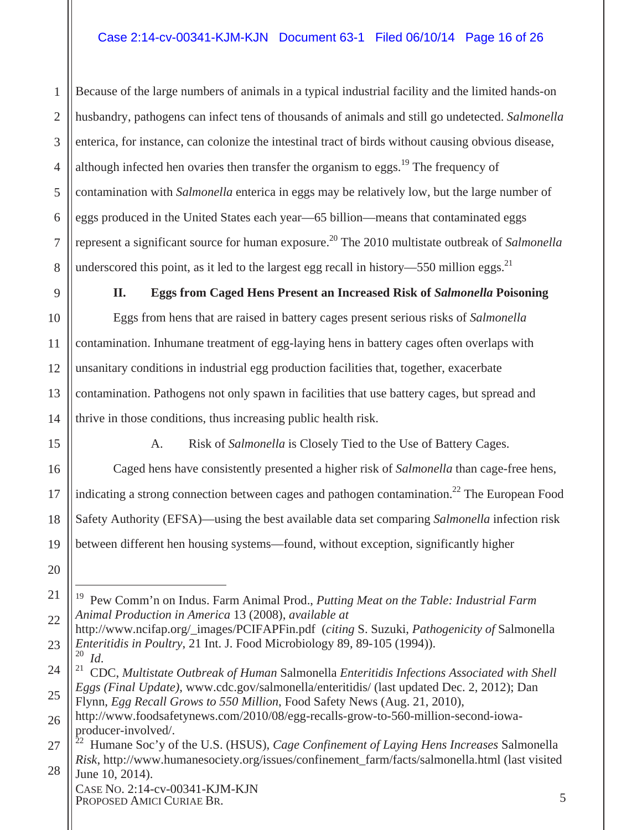Because of the large numbers of animals in a typical industrial facility and the limited hands-on husbandry, pathogens can infect tens of thousands of animals and still go undetected. *Salmonella* enterica, for instance, can colonize the intestinal tract of birds without causing obvious disease, although infected hen ovaries then transfer the organism to eggs.<sup>19</sup> The frequency of contamination with *Salmonella* enterica in eggs may be relatively low, but the large number of eggs produced in the United States each year—65 billion—means that contaminated eggs represent a significant source for human exposure.<sup>20</sup> The 2010 multistate outbreak of *Salmonella* underscored this point, as it led to the largest egg recall in history—550 million eggs.<sup>21</sup>

**II. Eggs from Caged Hens Present an Increased Risk of** *Salmonella* **Poisoning**

Eggs from hens that are raised in battery cages present serious risks of *Salmonella* contamination. Inhumane treatment of egg-laying hens in battery cages often overlaps with unsanitary conditions in industrial egg production facilities that, together, exacerbate contamination. Pathogens not only spawn in facilities that use battery cages, but spread and thrive in those conditions, thus increasing public health risk.

1

2

3

4

5

6

7

8

9

10

11

12

13

14

15

16

17

18

19

20

 $\overline{a}$ 

A. Risk of *Salmonella* is Closely Tied to the Use of Battery Cages.

Caged hens have consistently presented a higher risk of *Salmonella* than cage-free hens, indicating a strong connection between cages and pathogen contamination.<sup>22</sup> The European Food Safety Authority (EFSA)—using the best available data set comparing *Salmonella* infection risk between different hen housing systems—found, without exception, significantly higher

<sup>21</sup> 22 19 Pew Comm'n on Indus. Farm Animal Prod., *Putting Meat on the Table: Industrial Farm Animal Production in America* 13 (2008), *available at* 

<sup>23</sup> http://www.ncifap.org/\_images/PCIFAPFin.pdf (*citing* S. Suzuki, *Pathogenicity of* Salmonella *Enteritidis in Poultry*, 21 Int. J. Food Microbiology 89, 89-105 (1994)).<br><sup>20</sup> *M* 

<sup>25</sup> <sup>20</sup>*Id*. 21 CDC, *Multistate Outbreak of Human* Salmonella *Enteritidis Infections Associated with Shell Eggs (Final Update)*, www.cdc.gov/salmonella/enteritidis/ (last updated Dec. 2, 2012); Dan Flynn, *Egg Recall Grows to 550 Million*, Food Safety News (Aug. 21, 2010),

<sup>26</sup> http://www.foodsafetynews.com/2010/08/egg-recalls-grow-to-560-million-second-iowaproducer-involved/.

<sup>27</sup> 28 22 Humane Soc'y of the U.S. (HSUS), *Cage Confinement of Laying Hens Increases* Salmonella *Risk*, http://www.humanesociety.org/issues/confinement\_farm/facts/salmonella.html (last visited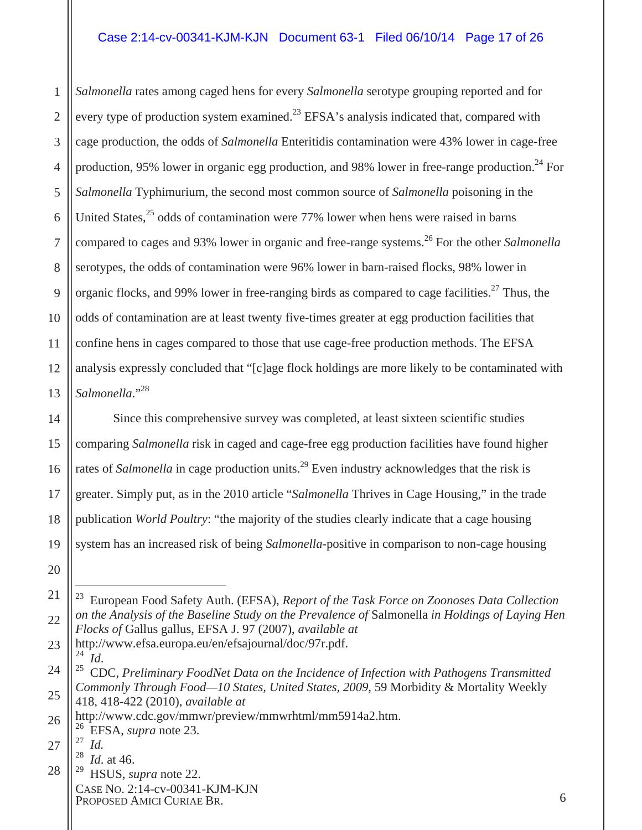#### Case 2:14-cv-00341-KJM-KJN Document 63-1 Filed 06/10/14 Page 17 of 26

1 2 3 4 5 6 7 8 9 10 11 12 13 *Salmonella* rates among caged hens for every *Salmonella* serotype grouping reported and for every type of production system examined.<sup>23</sup> EFSA's analysis indicated that, compared with cage production, the odds of *Salmonella* Enteritidis contamination were 43% lower in cage-free production, 95% lower in organic egg production, and 98% lower in free-range production.<sup>24</sup> For *Salmonella* Typhimurium, the second most common source of *Salmonella* poisoning in the United States, $25$  odds of contamination were 77% lower when hens were raised in barns compared to cages and 93% lower in organic and free-range systems.<sup>26</sup> For the other *Salmonella* serotypes, the odds of contamination were 96% lower in barn-raised flocks, 98% lower in organic flocks, and 99% lower in free-ranging birds as compared to cage facilities.<sup>27</sup> Thus, the odds of contamination are at least twenty five-times greater at egg production facilities that confine hens in cages compared to those that use cage-free production methods. The EFSA analysis expressly concluded that "[c]age flock holdings are more likely to be contaminated with *Salmonella*."28

Since this comprehensive survey was completed, at least sixteen scientific studies comparing *Salmonella* risk in caged and cage-free egg production facilities have found higher rates of *Salmonella* in cage production units.<sup>29</sup> Even industry acknowledges that the risk is greater. Simply put, as in the 2010 article "*Salmonella* Thrives in Cage Housing," in the trade publication *World Poultry*: "the majority of the studies clearly indicate that a cage housing system has an increased risk of being *Salmonella-*positive in comparison to non-cage housing

24

14

15

16

17

18

19

20

 $\overline{a}$ 

- 28 *Id.* at 46.
- CASE NO. 2:14-cv-00341-KJM-KJN PROPOSED AMICI CURIAE BR. 6 29 HSUS, *supra* note 22.

<sup>21</sup> 22 23 European Food Safety Auth. (EFSA), *Report of the Task Force on Zoonoses Data Collection on the Analysis of the Baseline Study on the Prevalence of* Salmonella *in Holdings of Laying Hen Flocks of* Gallus gallus, EFSA J. 97 (2007), *available at* 

<sup>23</sup> http://www.efsa.europa.eu/en/efsajournal/doc/97r.pdf.<br><sup>24</sup> Ld

<sup>25</sup> <sup>24</sup> *Id.*<br><sup>25</sup> CDC, Preliminary FoodNet Data on the Incidence of Infection with Pathogens Transmitted *Commonly Through Food—10 States, United States, 2009*, 59 Morbidity & Mortality Weekly 418, 418-422 (2010), *available at* 

<sup>26</sup> http://www.cdc.gov/mmwr/preview/mmwrhtml/mm5914a2.htm.

<sup>26</sup> EFSA, *supra* note 23.

<sup>27</sup>  $\frac{27}{28}$  *Id.*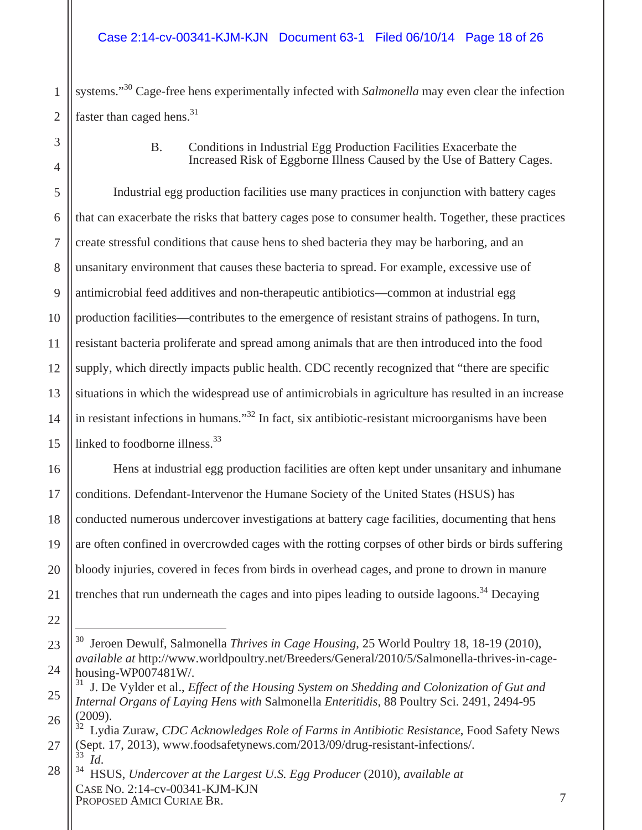1 2 systems."30 Cage-free hens experimentally infected with *Salmonella* may even clear the infection faster than caged hens.<sup>31</sup>

> B. Conditions in Industrial Egg Production Facilities Exacerbate the Increased Risk of Eggborne Illness Caused by the Use of Battery Cages.

5 6 7 8 9 10 11 12 13 14 15 Industrial egg production facilities use many practices in conjunction with battery cages that can exacerbate the risks that battery cages pose to consumer health. Together, these practices create stressful conditions that cause hens to shed bacteria they may be harboring, and an unsanitary environment that causes these bacteria to spread. For example, excessive use of antimicrobial feed additives and non-therapeutic antibiotics—common at industrial egg production facilities—contributes to the emergence of resistant strains of pathogens. In turn, resistant bacteria proliferate and spread among animals that are then introduced into the food supply, which directly impacts public health. CDC recently recognized that "there are specific situations in which the widespread use of antimicrobials in agriculture has resulted in an increase in resistant infections in humans."<sup>32</sup> In fact, six antibiotic-resistant microorganisms have been linked to foodborne illness.<sup>33</sup>

Hens at industrial egg production facilities are often kept under unsanitary and inhumane conditions. Defendant-Intervenor the Humane Society of the United States (HSUS) has conducted numerous undercover investigations at battery cage facilities, documenting that hens are often confined in overcrowded cages with the rotting corpses of other birds or birds suffering bloody injuries, covered in feces from birds in overhead cages, and prone to drown in manure trenches that run underneath the cages and into pipes leading to outside lagoons.<sup>34</sup> Decaying

3

4

16

17

18

19

20

21

22

23

 $\overline{a}$ 30 Jeroen Dewulf, Salmonella *Thrives in Cage Housing*, 25 World Poultry 18, 18-19 (2010), *available at* http://www.worldpoultry.net/Breeders/General/2010/5/Salmonella-thrives-in-cagehousing-WP007481W/.

<sup>25</sup> 26 31 J. De Vylder et al., *Effect of the Housing System on Shedding and Colonization of Gut and Internal Organs of Laying Hens with* Salmonella *Enteritidis*, 88 Poultry Sci. 2491, 2494-95 (2009).

<sup>27</sup> 32 Lydia Zuraw, *CDC Acknowledges Role of Farms in Antibiotic Resistance*, Food Safety News (Sept. 17, 2013), www.foodsafetynews.com/2013/09/drug-resistant-infections/.

CASE NO. 2:14-cv-00341-KJM-KJN PROPOSED AMICI CURIAE BR. 7 28 <sup>33</sup>*Id*. 34 HSUS, *Undercover at the Largest U.S. Egg Producer* (2010), *available at*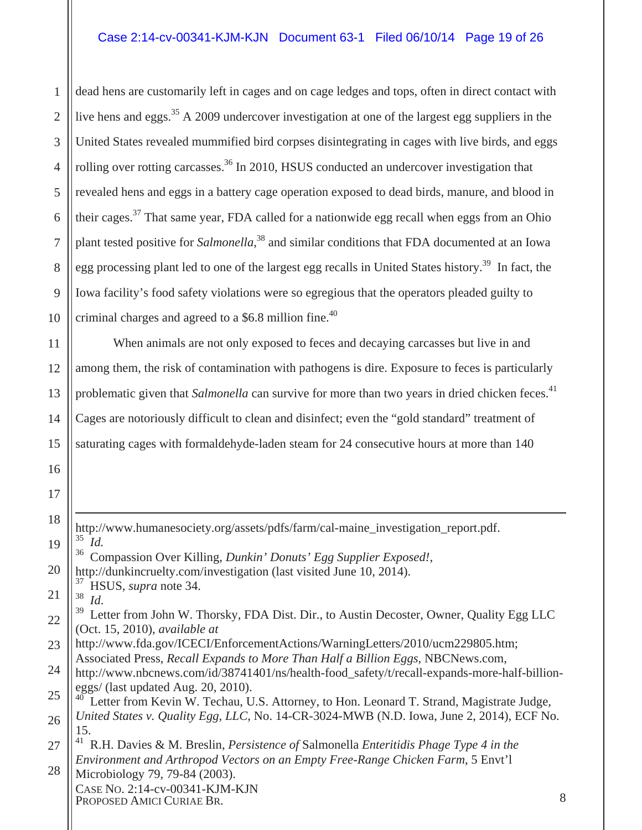1 2 3 4 5 6 7 8 9 10 dead hens are customarily left in cages and on cage ledges and tops, often in direct contact with live hens and eggs.<sup>35</sup> A 2009 undercover investigation at one of the largest egg suppliers in the United States revealed mummified bird corpses disintegrating in cages with live birds, and eggs rolling over rotting carcasses.<sup>36</sup> In 2010, HSUS conducted an undercover investigation that revealed hens and eggs in a battery cage operation exposed to dead birds, manure, and blood in their cages.<sup>37</sup> That same year, FDA called for a nationwide egg recall when eggs from an Ohio plant tested positive for *Salmonella*, 38 and similar conditions that FDA documented at an Iowa egg processing plant led to one of the largest egg recalls in United States history.<sup>39</sup> In fact, the Iowa facility's food safety violations were so egregious that the operators pleaded guilty to criminal charges and agreed to a  $$6.8$  million fine.<sup>40</sup>

11 12 13 14 15 When animals are not only exposed to feces and decaying carcasses but live in and among them, the risk of contamination with pathogens is dire. Exposure to feces is particularly problematic given that *Salmonella* can survive for more than two years in dried chicken feces.<sup>41</sup> Cages are notoriously difficult to clean and disinfect; even the "gold standard" treatment of saturating cages with formaldehyde-laden steam for 24 consecutive hours at more than 140

19 20 21 22 23 24 25 26 27 http://www.humanesociety.org/assets/pdfs/farm/cal-maine\_investigation\_report.pdf.<br>35 Ld 35 *Id.* 36 Compassion Over Killing, *Dunkin' Donuts' Egg Supplier Exposed!*, http://dunkincruelty.com/investigation (last visited June 10, 2014).  $rac{37}{38}$  HSUS, *supra* note 34. <sup>38</sup> *Id.*<br><sup>39</sup> Letter from John W. Thorsky, FDA Dist. Dir., to Austin Decoster, Owner, Quality Egg LLC (Oct. 15, 2010), *available at*  http://www.fda.gov/ICECI/EnforcementActions/WarningLetters/2010/ucm229805.htm; Associated Press, *Recall Expands to More Than Half a Billion Eggs*, NBCNews.com, http://www.nbcnews.com/id/38741401/ns/health-food\_safety/t/recall-expands-more-half-billioneggs/ (last updated Aug. 20, 2010). Letter from Kevin W. Techau, U.S. Attorney, to Hon. Leonard T. Strand, Magistrate Judge, *United States v. Quality Egg, LLC*, No. 14-CR-3024-MWB (N.D. Iowa, June 2, 2014), ECF No. 15. 41 R.H. Davies & M. Breslin, *Persistence of* Salmonella *Enteritidis Phage Type 4 in the Environment and Arthropod Vectors on an Empty Free-Range Chicken Farm*, 5 Envt'l

CASE NO. 2:14-cv-00341-KJM-KJN PROPOSED AMICI CURIAE BR. 28 Microbiology 79, 79-84 (2003).

16

17

18

 $\overline{a}$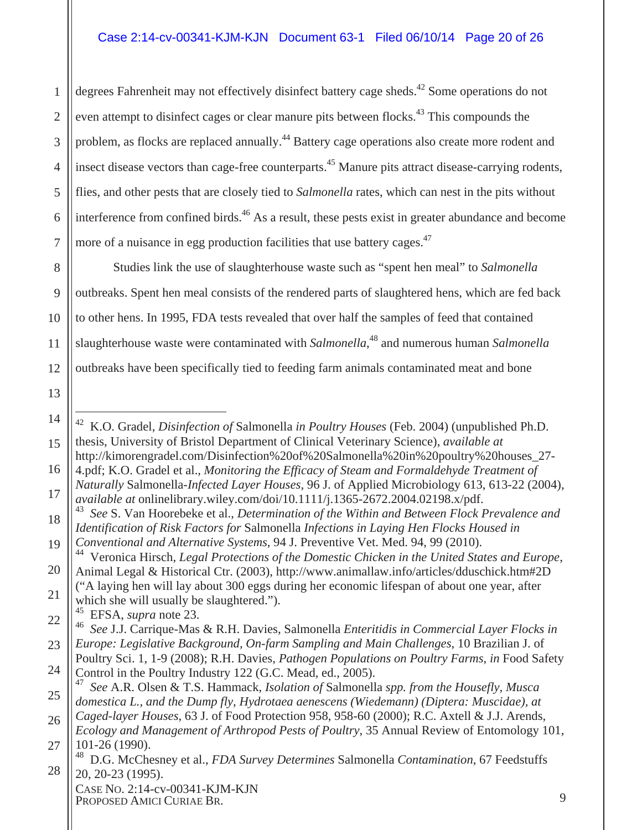1 2 3 4 5 6 7 degrees Fahrenheit may not effectively disinfect battery cage sheds.<sup>42</sup> Some operations do not even attempt to disinfect cages or clear manure pits between flocks.<sup>43</sup> This compounds the problem, as flocks are replaced annually.<sup>44</sup> Battery cage operations also create more rodent and insect disease vectors than cage-free counterparts.<sup>45</sup> Manure pits attract disease-carrying rodents, flies, and other pests that are closely tied to *Salmonella* rates, which can nest in the pits without interference from confined birds.<sup>46</sup> As a result, these pests exist in greater abundance and become more of a nuisance in egg production facilities that use battery cages.<sup>47</sup>

8 9 10 11 12 Studies link the use of slaughterhouse waste such as "spent hen meal" to *Salmonella*  outbreaks. Spent hen meal consists of the rendered parts of slaughtered hens, which are fed back to other hens. In 1995, FDA tests revealed that over half the samples of feed that contained slaughterhouse waste were contaminated with *Salmonella*, 48 and numerous human *Salmonella*  outbreaks have been specifically tied to feeding farm animals contaminated meat and bone

- 42 K.O. Gradel, *Disinfection of* Salmonella *in Poultry Houses* (Feb. 2004) (unpublished Ph.D. thesis, University of Bristol Department of Clinical Veterinary Science), *available at*  http://kimorengradel.com/Disinfection%20of%20Salmonella%20in%20poultry%20houses\_27-
- 16 17 4.pdf; K.O. Gradel et al., *Monitoring the Efficacy of Steam and Formaldehyde Treatment of Naturally* Salmonella*-Infected Layer Houses*, 96 J. of Applied Microbiology 613, 613-22 (2004),
	- *available at* onlinelibrary.wiley.com/doi/10.1111/j.1365-2672.2004.02198.x/pdf. 43 *See* S. Van Hoorebeke et al., *Determination of the Within and Between Flock Prevalence and*
- 18 19 *Identification of Risk Factors for* Salmonella *Infections in Laying Hen Flocks Housed in Conventional and Alternative Systems*, 94 J. Preventive Vet. Med. 94, 99 (2010).

21 ("A laying hen will lay about 300 eggs during her economic lifespan of about one year, after which she will usually be slaughtered.").<br> $^{45}$  EESA sunra pote 23

13

14

 $\overline{a}$ 

15

CASE NO. 2:14-cv-00341-KJM-KJN PROPOSED AMICI CURIAE BR. 9

<sup>20</sup> 44 Veronica Hirsch, *Legal Protections of the Domestic Chicken in the United States and Europe*, Animal Legal & Historical Ctr. (2003), http://www.animallaw.info/articles/dduschick.htm#2D

<sup>22</sup> 45 EFSA, *supra* note 23.

<sup>23</sup> 46 *See* J.J. Carrique-Mas & R.H. Davies, Salmonella *Enteritidis in Commercial Layer Flocks in Europe: Legislative Background, On-farm Sampling and Main Challenges*, 10 Brazilian J. of

<sup>24</sup> Poultry Sci. 1, 1-9 (2008); R.H. Davies, *Pathogen Populations on Poultry Farms*, *in* Food Safety Control in the Poultry Industry 122 (G.C. Mead, ed., 2005).

<sup>25</sup> 47 *See* A.R. Olsen & T.S. Hammack, *Isolation of* Salmonella *spp. from the Housefly, Musca domestica L., and the Dump fly, Hydrotaea aenescens (Wiedemann) (Diptera: Muscidae), at* 

<sup>26</sup> 27 *Caged-layer Houses*, 63 J. of Food Protection 958, 958-60 (2000); R.C. Axtell & J.J. Arends, *Ecology and Management of Arthropod Pests of Poultry*, 35 Annual Review of Entomology 101, 101-26 (1990).

<sup>28</sup> 48 D.G. McChesney et al., *FDA Survey Determines* Salmonella *Contamination*, 67 Feedstuffs 20, 20-23 (1995).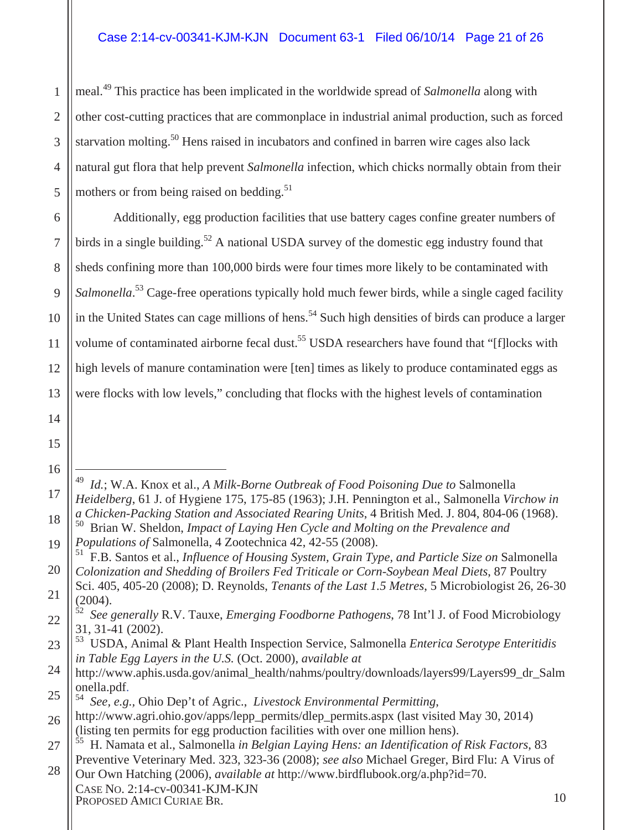meal.49 This practice has been implicated in the worldwide spread of *Salmonella* along with other cost-cutting practices that are commonplace in industrial animal production, such as forced starvation molting.<sup>50</sup> Hens raised in incubators and confined in barren wire cages also lack natural gut flora that help prevent *Salmonella* infection, which chicks normally obtain from their mothers or from being raised on bedding. $51$ 

12 13 Additionally, egg production facilities that use battery cages confine greater numbers of birds in a single building.<sup>52</sup> A national USDA survey of the domestic egg industry found that sheds confining more than 100,000 birds were four times more likely to be contaminated with Salmonella.<sup>53</sup> Cage-free operations typically hold much fewer birds, while a single caged facility in the United States can cage millions of hens.<sup>54</sup> Such high densities of birds can produce a larger volume of contaminated airborne fecal dust.<sup>55</sup> USDA researchers have found that "[f]locks with high levels of manure contamination were [ten] times as likely to produce contaminated eggs as were flocks with low levels," concluding that flocks with the highest levels of contamination

 $\overline{a}$ 

14

1

2

3

4

5

6

7

8

9

10

11

23 53 USDA, Animal & Plant Health Inspection Service, Salmonella *Enterica Serotype Enteritidis in Table Egg Layers in the U.S.* (Oct. 2000), *available at* 

<sup>49</sup> *Id.*; W.A. Knox et al., *A Milk-Borne Outbreak of Food Poisoning Due to* Salmonella *Heidelberg*, 61 J. of Hygiene 175, 175-85 (1963); J.H. Pennington et al., Salmonella *Virchow in a Chicken-Packing Station and Associated Rearing Units*, 4 British Med. J. 804, 804-06 (1968).

<sup>19</sup> 50 Brian W. Sheldon, *Impact of Laying Hen Cycle and Molting on the Prevalence and Populations of* Salmonella, 4 Zootechnica 42, 42-55 (2008).

<sup>20</sup> 51 F.B. Santos et al., *Influence of Housing System, Grain Type, and Particle Size on* Salmonella *Colonization and Shedding of Broilers Fed Triticale or Corn-Soybean Meal Diets*, 87 Poultry

<sup>21</sup> Sci. 405, 405-20 (2008); D. Reynolds, *Tenants of the Last 1.5 Metres*, 5 Microbiologist 26, 26-30  $(2004)$ .

<sup>22</sup> 52 *See generally* R.V. Tauxe, *Emerging Foodborne Pathogens*, 78 Int'l J. of Food Microbiology 31, 31-41 (2002).

<sup>24</sup> 25 http://www.aphis.usda.gov/animal\_health/nahms/poultry/downloads/layers99/Layers99\_dr\_Salm onella.pdf. <sup>54</sup>*See, e.g.,* Ohio Dep't of Agric., *Livestock Environmental Permitting*,

<sup>26</sup> http://www.agri.ohio.gov/apps/lepp\_permits/dlep\_permits.aspx (last visited May 30, 2014) (listing ten permits for egg production facilities with over one million hens).

<sup>27</sup> 55 H. Namata et al., Salmonella *in Belgian Laying Hens: an Identification of Risk Factors*, 83 Preventive Veterinary Med. 323, 323-36 (2008); *see also* Michael Greger, Bird Flu: A Virus of

CASE NO. 2:14-cv-00341-KJM-KJN PROPOSED AMICI CURIAE BR. 10 28 Our Own Hatching (2006), *available at* http://www.birdflubook.org/a.php?id=70.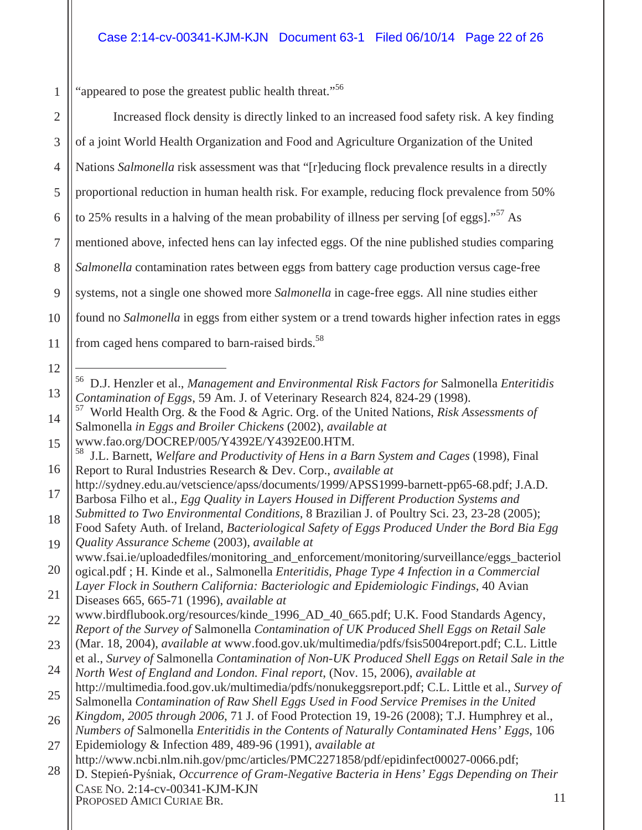"appeared to pose the greatest public health threat."<sup>56</sup>

1

CASE NO. 2:14-cv-00341-KJM-KJN PROPOSED AMICI CURIAE BR. 11 2 3 4 5 6 7 8 9 10 11 12 13 14 15 16 17 18 19 20 21 22 23 24 25 26 27 28 Increased flock density is directly linked to an increased food safety risk. A key finding of a joint World Health Organization and Food and Agriculture Organization of the United Nations *Salmonella* risk assessment was that "[r]educing flock prevalence results in a directly proportional reduction in human health risk. For example, reducing flock prevalence from 50% to 25% results in a halving of the mean probability of illness per serving [of eggs]."<sup>57</sup> As mentioned above, infected hens can lay infected eggs. Of the nine published studies comparing *Salmonella* contamination rates between eggs from battery cage production versus cage-free systems, not a single one showed more *Salmonella* in cage-free eggs. All nine studies either found no *Salmonella* in eggs from either system or a trend towards higher infection rates in eggs from caged hens compared to barn-raised birds.<sup>58</sup>  $\overline{a}$ 56 D.J. Henzler et al., *Management and Environmental Risk Factors for* Salmonella *Enteritidis Contamination of Eggs*, 59 Am. J. of Veterinary Research 824, 824-29 (1998). 57 World Health Org. & the Food & Agric. Org. of the United Nations, *Risk Assessments of*  Salmonella *in Eggs and Broiler Chickens* (2002), *available at*  www.fao.org/DOCREP/005/Y4392E/Y4392E00.HTM. 58 J.L. Barnett, *Welfare and Productivity of Hens in a Barn System and Cages* (1998), Final Report to Rural Industries Research & Dev. Corp., *available at* http://sydney.edu.au/vetscience/apss/documents/1999/APSS1999-barnett-pp65-68.pdf; J.A.D. Barbosa Filho et al., *Egg Quality in Layers Housed in Different Production Systems and Submitted to Two Environmental Conditions*, 8 Brazilian J. of Poultry Sci. 23, 23-28 (2005); Food Safety Auth. of Ireland, *Bacteriological Safety of Eggs Produced Under the Bord Bia Egg Quality Assurance Scheme* (2003), *available at*  www.fsai.ie/uploadedfiles/monitoring\_and\_enforcement/monitoring/surveillance/eggs\_bacteriol ogical.pdf ; H. Kinde et al., Salmonella *Enteritidis, Phage Type 4 Infection in a Commercial Layer Flock in Southern California: Bacteriologic and Epidemiologic Findings*, 40 Avian Diseases 665, 665-71 (1996), *available at*  www.birdflubook.org/resources/kinde\_1996\_AD\_40\_665.pdf; U.K. Food Standards Agency, *Report of the Survey of* Salmonella *Contamination of UK Produced Shell Eggs on Retail Sale* (Mar. 18, 2004), *available at* www.food.gov.uk/multimedia/pdfs/fsis5004report.pdf; C.L. Little et al., *Survey of* Salmonella *Contamination of Non-UK Produced Shell Eggs on Retail Sale in the North West of England and London. Final report*, (Nov. 15, 2006), *available at* http://multimedia.food.gov.uk/multimedia/pdfs/nonukeggsreport.pdf; C.L. Little et al., *Survey of*  Salmonella *Contamination of Raw Shell Eggs Used in Food Service Premises in the United Kingdom, 2005 through 2006*, 71 J. of Food Protection 19, 19-26 (2008); T.J. Humphrey et al., *Numbers of* Salmonella *Enteritidis in the Contents of Naturally Contaminated Hens' Eggs*, 106 Epidemiology & Infection 489, 489-96 (1991), *available at*  http://www.ncbi.nlm.nih.gov/pmc/articles/PMC2271858/pdf/epidinfect00027-0066.pdf; D. Stepień-Pyśniak, *Occurrence of Gram-Negative Bacteria in Hens' Eggs Depending on Their*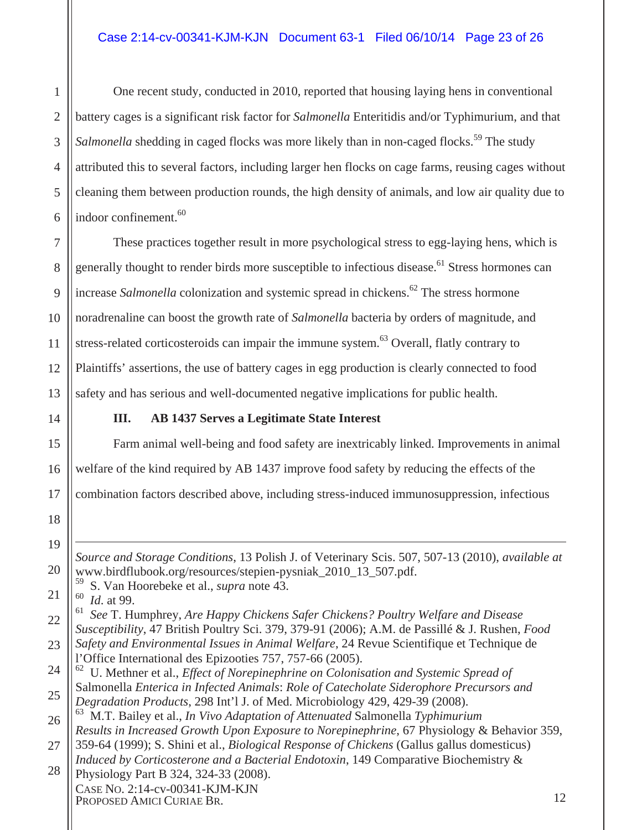One recent study, conducted in 2010, reported that housing laying hens in conventional battery cages is a significant risk factor for *Salmonella* Enteritidis and/or Typhimurium, and that *Salmonella* shedding in caged flocks was more likely than in non-caged flocks.<sup>59</sup> The study attributed this to several factors, including larger hen flocks on cage farms, reusing cages without cleaning them between production rounds, the high density of animals, and low air quality due to indoor confinement.<sup>60</sup>

These practices together result in more psychological stress to egg-laying hens, which is generally thought to render birds more susceptible to infectious disease.<sup>61</sup> Stress hormones can increase *Salmonella* colonization and systemic spread in chickens.<sup>62</sup> The stress hormone noradrenaline can boost the growth rate of *Salmonella* bacteria by orders of magnitude, and stress-related corticosteroids can impair the immune system.<sup>63</sup> Overall, flatly contrary to Plaintiffs' assertions, the use of battery cages in egg production is clearly connected to food safety and has serious and well-documented negative implications for public health.

#### **III. AB 1437 Serves a Legitimate State Interest**

Farm animal well-being and food safety are inextricably linked. Improvements in animal welfare of the kind required by AB 1437 improve food safety by reducing the effects of the combination factors described above, including stress-induced immunosuppression, infectious

*Source and Storage Conditions*, 13 Polish J. of Veterinary Scis. 507, 507-13 (2010), *available at*  www.birdflubook.org/resources/stepien-pysniak\_2010\_13\_507.pdf.

59 S. Van Hoorebeke et al., *supra* note 43.

<sup>60</sup> *Id.* at 99.<br><sup>61</sup> See T Hy

 $\overline{a}$ 

61 *See* T. Humphrey, *Are Happy Chickens Safer Chickens? Poultry Welfare and Disease Susceptibility*, 47 British Poultry Sci. 379, 379-91 (2006); A.M. de Passillé & J. Rushen, *Food*

*Safety and Environmental Issues in Animal Welfare*, 24 Revue Scientifique et Technique de l'Office International des Epizooties 757, 757-66 (2005).

63 M.T. Bailey et al., *In Vivo Adaptation of Attenuated* Salmonella *Typhimurium Results in Increased Growth Upon Exposure to Norepinephrine*, 67 Physiology & Behavior 359,

CASE NO. 2:14-cv-00341-KJM-KJN PROPOSED AMICI CURIAE BR. 12 Physiology Part B 324, 324-33 (2008).

1

<sup>62</sup> U. Methner et al., *Effect of Norepinephrine on Colonisation and Systemic Spread of*  Salmonella *Enterica in Infected Animals*: *Role of Catecholate Siderophore Precursors and Degradation Products*, 298 Int'l J. of Med. Microbiology 429, 429-39 (2008).

<sup>359-64 (1999);</sup> S. Shini et al., *Biological Response of Chickens* (Gallus gallus domesticus) *Induced by Corticosterone and a Bacterial Endotoxin*, 149 Comparative Biochemistry &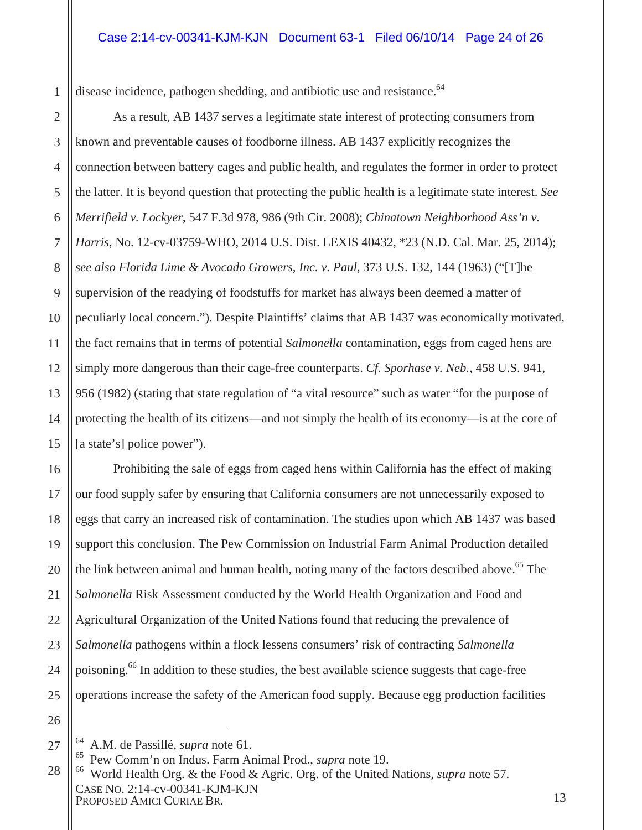disease incidence, pathogen shedding, and antibiotic use and resistance.<sup>64</sup>

6 12 13 14 As a result, AB 1437 serves a legitimate state interest of protecting consumers from known and preventable causes of foodborne illness. AB 1437 explicitly recognizes the connection between battery cages and public health, and regulates the former in order to protect the latter. It is beyond question that protecting the public health is a legitimate state interest. *See Merrifield v. Lockyer*, 547 F.3d 978, 986 (9th Cir. 2008); *Chinatown Neighborhood Ass'n v. Harris*, No. 12-cv-03759-WHO, 2014 U.S. Dist. LEXIS 40432, \*23 (N.D. Cal. Mar. 25, 2014); *see also Florida Lime & Avocado Growers, Inc. v. Paul*, 373 U.S. 132, 144 (1963) ("[T]he supervision of the readying of foodstuffs for market has always been deemed a matter of peculiarly local concern."). Despite Plaintiffs' claims that AB 1437 was economically motivated, the fact remains that in terms of potential *Salmonella* contamination, eggs from caged hens are simply more dangerous than their cage-free counterparts. *Cf. Sporhase v. Neb.*, 458 U.S. 941, 956 (1982) (stating that state regulation of "a vital resource" such as water "for the purpose of protecting the health of its citizens—and not simply the health of its economy—is at the core of [a state's] police power").

16 17 18 19 20 21 22 23 24 25 Prohibiting the sale of eggs from caged hens within California has the effect of making our food supply safer by ensuring that California consumers are not unnecessarily exposed to eggs that carry an increased risk of contamination. The studies upon which AB 1437 was based support this conclusion. The Pew Commission on Industrial Farm Animal Production detailed the link between animal and human health, noting many of the factors described above.<sup>65</sup> The *Salmonella* Risk Assessment conducted by the World Health Organization and Food and Agricultural Organization of the United Nations found that reducing the prevalence of *Salmonella* pathogens within a flock lessens consumers' risk of contracting *Salmonella* poisoning.<sup>66</sup> In addition to these studies, the best available science suggests that cage-free operations increase the safety of the American food supply. Because egg production facilities

26 27

 $\overline{a}$ 

1

2

3

4

5

7

8

9

10

11

<sup>64</sup> A.M. de Passillé, *supra* note 61.

CASE NO. 2:14-cv-00341-KJM-KJN PROPOSED AMICI CURIAE BR. 13 28 65 Pew Comm'n on Indus. Farm Animal Prod., *supra* note 19. 66 World Health Org. & the Food & Agric. Org. of the United Nations, *supra* note 57.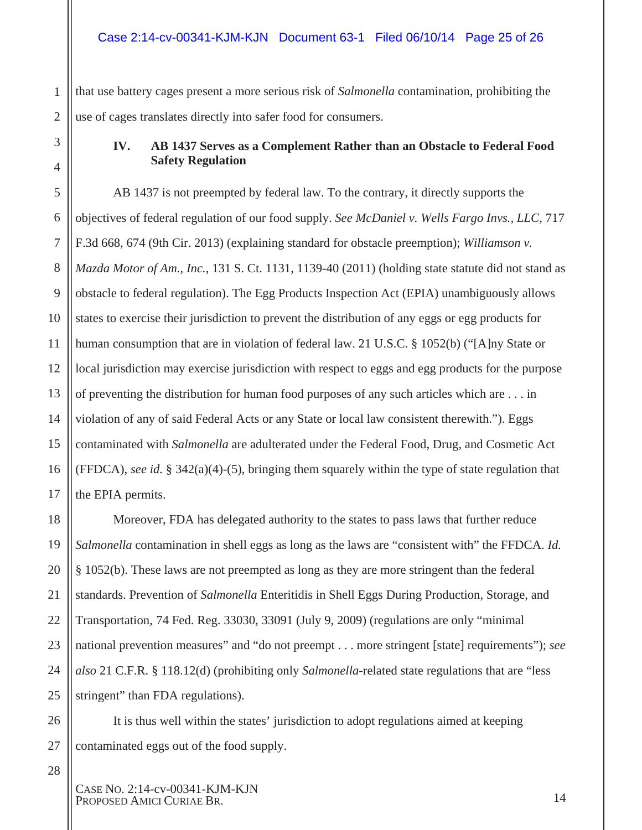1 2 that use battery cages present a more serious risk of *Salmonella* contamination, prohibiting the use of cages translates directly into safer food for consumers.

#### **IV. AB 1437 Serves as a Complement Rather than an Obstacle to Federal Food Safety Regulation**

5 6 7 8 9 10 11 12 13 14 15 16 17 AB 1437 is not preempted by federal law. To the contrary, it directly supports the objectives of federal regulation of our food supply. *See McDaniel v. Wells Fargo Invs., LLC*, 717 F.3d 668, 674 (9th Cir. 2013) (explaining standard for obstacle preemption); *Williamson v. Mazda Motor of Am., Inc.*, 131 S. Ct. 1131, 1139-40 (2011) (holding state statute did not stand as obstacle to federal regulation). The Egg Products Inspection Act (EPIA) unambiguously allows states to exercise their jurisdiction to prevent the distribution of any eggs or egg products for human consumption that are in violation of federal law. 21 U.S.C. § 1052(b) ("[A]ny State or local jurisdiction may exercise jurisdiction with respect to eggs and egg products for the purpose of preventing the distribution for human food purposes of any such articles which are . . . in violation of any of said Federal Acts or any State or local law consistent therewith."). Eggs contaminated with *Salmonella* are adulterated under the Federal Food, Drug, and Cosmetic Act (FFDCA), *see id.* § 342(a)(4)-(5), bringing them squarely within the type of state regulation that the EPIA permits.

Moreover, FDA has delegated authority to the states to pass laws that further reduce *Salmonella* contamination in shell eggs as long as the laws are "consistent with" the FFDCA. *Id.* § 1052(b). These laws are not preempted as long as they are more stringent than the federal standards. Prevention of *Salmonella* Enteritidis in Shell Eggs During Production, Storage, and Transportation, 74 Fed. Reg. 33030, 33091 (July 9, 2009) (regulations are only "minimal national prevention measures" and "do not preempt . . . more stringent [state] requirements"); *see also* 21 C.F.R. § 118.12(d) (prohibiting only *Salmonella*-related state regulations that are "less stringent" than FDA regulations).

It is thus well within the states' jurisdiction to adopt regulations aimed at keeping contaminated eggs out of the food supply.

3

4

18

19

20

21

22

23

24

25

26

27